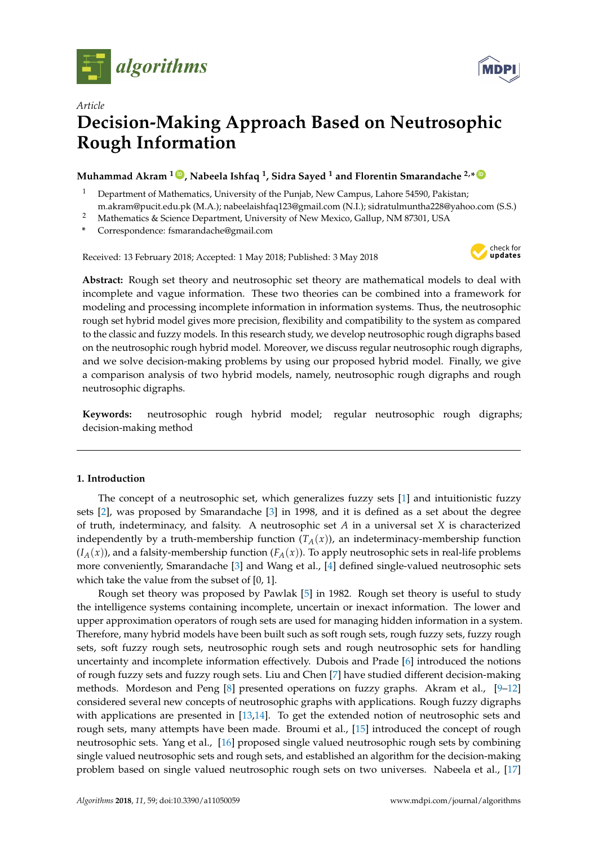



# *Article* **Decision-Making Approach Based on Neutrosophic Rough Information**

# **Muhammad Akram <sup>1</sup> [ID](https://orcid.org/0000-0001-7217-7962) , Nabeela Ishfaq <sup>1</sup> , Sidra Sayed <sup>1</sup> and Florentin Smarandache 2,\* [ID](https://orcid.org/0000-0002-5560-5926)**

- <sup>1</sup> Department of Mathematics, University of the Punjab, New Campus, Lahore 54590, Pakistan; m.akram@pucit.edu.pk (M.A.); nabeelaishfaq123@gmail.com (N.I.); sidratulmuntha228@yahoo.com (S.S.)
- <sup>2</sup> Mathematics & Science Department, University of New Mexico, Gallup, NM 87301, USA
- **\*** Correspondence: fsmarandache@gmail.com

Received: 13 February 2018; Accepted: 1 May 2018; Published: 3 May 2018



**Abstract:** Rough set theory and neutrosophic set theory are mathematical models to deal with incomplete and vague information. These two theories can be combined into a framework for modeling and processing incomplete information in information systems. Thus, the neutrosophic rough set hybrid model gives more precision, flexibility and compatibility to the system as compared to the classic and fuzzy models. In this research study, we develop neutrosophic rough digraphs based on the neutrosophic rough hybrid model. Moreover, we discuss regular neutrosophic rough digraphs, and we solve decision-making problems by using our proposed hybrid model. Finally, we give a comparison analysis of two hybrid models, namely, neutrosophic rough digraphs and rough neutrosophic digraphs.

**Keywords:** neutrosophic rough hybrid model; regular neutrosophic rough digraphs; decision-making method

# **1. Introduction**

The concept of a neutrosophic set, which generalizes fuzzy sets [\[1\]](#page-18-0) and intuitionistic fuzzy sets [\[2\]](#page-18-1), was proposed by Smarandache [\[3\]](#page-18-2) in 1998, and it is defined as a set about the degree of truth, indeterminacy, and falsity. A neutrosophic set *A* in a universal set *X* is characterized independently by a truth-membership function  $(T_A(x))$ , an indeterminacy-membership function  $(I_A(x))$ , and a falsity-membership function  $(F_A(x))$ . To apply neutrosophic sets in real-life problems more conveniently, Smarandache [\[3\]](#page-18-2) and Wang et al., [\[4\]](#page-18-3) defined single-valued neutrosophic sets which take the value from the subset of [0, 1].

Rough set theory was proposed by Pawlak [\[5\]](#page-18-4) in 1982. Rough set theory is useful to study the intelligence systems containing incomplete, uncertain or inexact information. The lower and upper approximation operators of rough sets are used for managing hidden information in a system. Therefore, many hybrid models have been built such as soft rough sets, rough fuzzy sets, fuzzy rough sets, soft fuzzy rough sets, neutrosophic rough sets and rough neutrosophic sets for handling uncertainty and incomplete information effectively. Dubois and Prade [\[6\]](#page-18-5) introduced the notions of rough fuzzy sets and fuzzy rough sets. Liu and Chen [\[7\]](#page-19-0) have studied different decision-making methods. Mordeson and Peng [\[8\]](#page-19-1) presented operations on fuzzy graphs. Akram et al., [\[9](#page-19-2)[–12\]](#page-19-3) considered several new concepts of neutrosophic graphs with applications. Rough fuzzy digraphs with applications are presented in [\[13,](#page-19-4)[14\]](#page-19-5). To get the extended notion of neutrosophic sets and rough sets, many attempts have been made. Broumi et al., [\[15\]](#page-19-6) introduced the concept of rough neutrosophic sets. Yang et al., [\[16\]](#page-19-7) proposed single valued neutrosophic rough sets by combining single valued neutrosophic sets and rough sets, and established an algorithm for the decision-making problem based on single valued neutrosophic rough sets on two universes. Nabeela et al., [\[17\]](#page-19-8)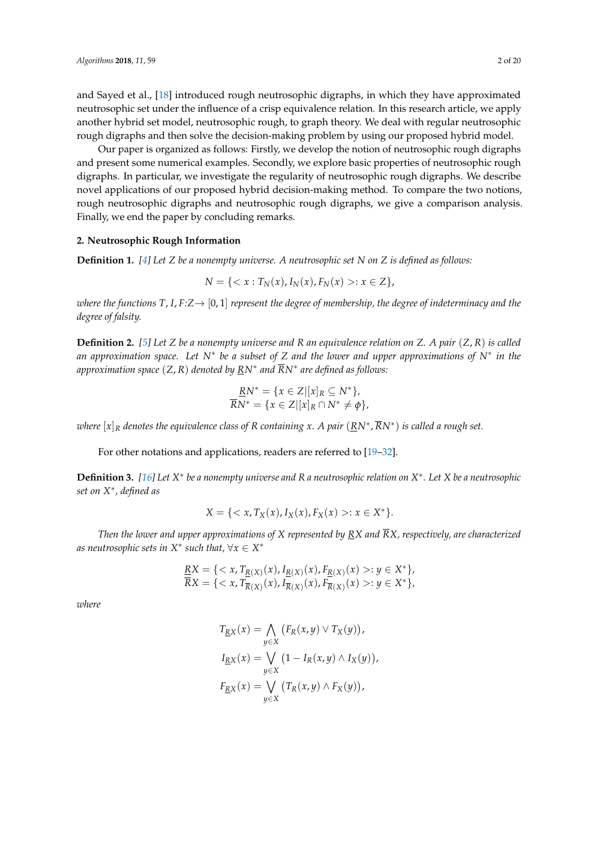and Sayed et al., [\[18\]](#page-19-9) introduced rough neutrosophic digraphs, in which they have approximated neutrosophic set under the influence of a crisp equivalence relation. In this research article, we apply another hybrid set model, neutrosophic rough, to graph theory. We deal with regular neutrosophic rough digraphs and then solve the decision-making problem by using our proposed hybrid model.

Our paper is organized as follows: Firstly, we develop the notion of neutrosophic rough digraphs and present some numerical examples. Secondly, we explore basic properties of neutrosophic rough digraphs. In particular, we investigate the regularity of neutrosophic rough digraphs. We describe novel applications of our proposed hybrid decision-making method. To compare the two notions, rough neutrosophic digraphs and neutrosophic rough digraphs, we give a comparison analysis. Finally, we end the paper by concluding remarks.

#### **2. Neutrosophic Rough Information**

**Definition 1.** *[\[4\]](#page-18-3) Let Z be a nonempty universe. A neutrosophic set N on Z is defined as follows:*

$$
N = \{ \langle x : T_N(x), I_N(x), F_N(x) \rangle : x \in Z \},\
$$

*where the functions*  $T$ , *I*,  $F:Z \rightarrow [0,1]$  *represent the degree of membership, the degree of indeterminacy and the degree of falsity.*

**Definition 2.** *[\[5\]](#page-18-4) Let Z be a nonempty universe and R an equivalence relation on Z. A pair* (*Z*, *R*) *is called an approximation space. Let N*∗ *be a subset of Z and the lower and upper approximations of N*∗ *in the approximation space* (*Z*, *R*) *denoted by RN*∗ *and RN*∗ *are defined as follows:*

$$
\frac{RN^*}{RN^*} = \{x \in Z | [x]_R \subseteq N^* \},
$$
  

$$
\overline{RN^*} = \{x \in Z | [x]_R \cap N^* \neq \phi\},
$$

*where* [*x*]*<sup>R</sup> denotes the equivalence class of R containing x. A pair* (*RN*<sup>∗</sup> , *RN*∗ ) *is called a rough set.*

For other notations and applications, readers are referred to [\[19–](#page-19-10)[32\]](#page-19-11).

**Definition 3.** [\[16\]](#page-19-7) Let X\* be a nonempty universe and R a neutrosophic relation on X\*. Let X be a neutrosophic *set on X*∗ *, defined as*

$$
X = \{ \langle x, T_X(x), I_X(x), F_X(x) \rangle : x \in X^* \}.
$$

*Then the lower and upper approximations of X represented by RX and RX, respectively, are characterized as neutrosophic sets in X*∗ *such that,* ∀*x* ∈ *X* ∗

$$
\underline{RX} = \{ \langle x, T_{\underline{R}(X)}(x), I_{\underline{R}(X)}(x), F_{\underline{R}(X)}(x) \rangle : y \in X^* \},
$$
  

$$
\overline{RX} = \{ \langle x, T_{\overline{R}(X)}(x), I_{\overline{R}(X)}(x), F_{\overline{R}(X)}(x) \rangle : y \in X^* \},
$$

*where*

$$
T_{\underline{R}X}(x) = \bigwedge_{y \in X} (F_R(x, y) \vee T_X(y)),
$$
  
\n
$$
I_{\underline{R}X}(x) = \bigvee_{y \in X} (1 - I_R(x, y) \wedge I_X(y)),
$$
  
\n
$$
F_{\underline{R}X}(x) = \bigvee_{y \in X} (T_R(x, y) \wedge F_X(y)),
$$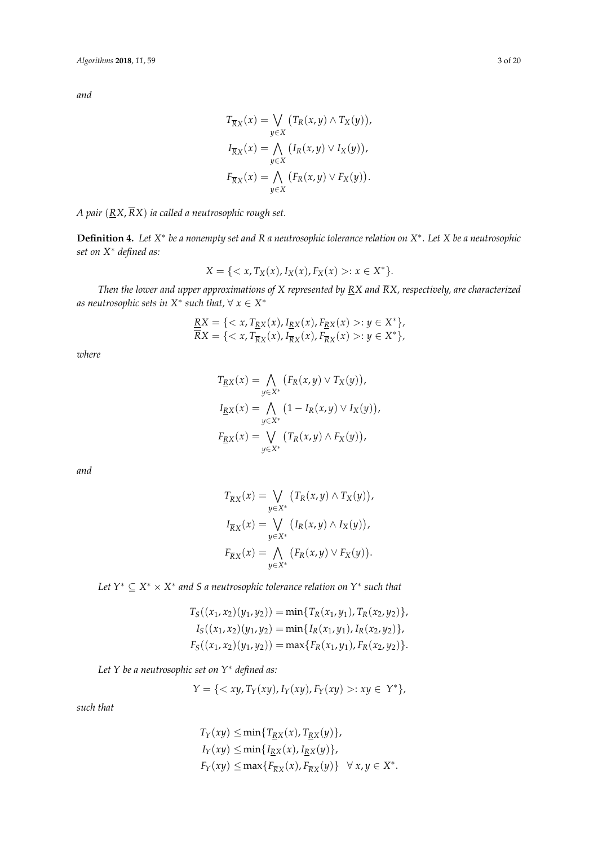*and*

$$
T_{\overline{R}X}(x) = \bigvee_{y \in X} (T_R(x, y) \wedge T_X(y)),
$$
  
\n
$$
I_{\overline{R}X}(x) = \bigwedge_{y \in X} (I_R(x, y) \vee I_X(y)),
$$
  
\n
$$
F_{\overline{R}X}(x) = \bigwedge_{y \in X} (F_R(x, y) \vee F_X(y)).
$$

*A pair* (*RX*, *RX*) *ia called a neutrosophic rough set.*

**Definition 4.** Let X\* be a nonempty set and R a neutrosophic tolerance relation on X\*. Let X be a neutrosophic *set on X*∗ *defined as:*

$$
X = \{ \langle x, T_X(x), I_X(x), F_X(x) \rangle : x \in X^* \}.
$$

*Then the lower and upper approximations of X represented by RX and RX, respectively, are characterized*  $a$ s neutrosophic sets in  $X^*$  such that,  $\forall x \in X^*$ 

$$
\underline{RX} = \{ \langle x, T_{\underline{RX}}(x), I_{\underline{RX}}(x), F_{\underline{RX}}(x) \rangle : y \in X^* \},
$$
  

$$
\overline{RX} = \{ \langle x, T_{\overline{RX}}(x), I_{\overline{RX}}(x), F_{\overline{RX}}(x) \rangle : y \in X^* \},
$$

*where*

$$
T_{RX}(x) = \bigwedge_{y \in X^*} (F_R(x, y) \vee T_X(y)),
$$
  
\n
$$
I_{RX}(x) = \bigwedge_{y \in X^*} (1 - I_R(x, y) \vee I_X(y)),
$$
  
\n
$$
F_{RX}(x) = \bigvee_{y \in X^*} (T_R(x, y) \wedge F_X(y)),
$$

*and*

$$
T_{\overline{R}X}(x) = \bigvee_{y \in X^*} (T_R(x, y) \wedge T_X(y)),
$$
  
\n
$$
I_{\overline{R}X}(x) = \bigvee_{y \in X^*} (I_R(x, y) \wedge I_X(y)),
$$
  
\n
$$
F_{\overline{R}X}(x) = \bigwedge_{y \in X^*} (F_R(x, y) \vee F_X(y)).
$$

*Let Y*<sup>∗</sup> ⊆ *X* <sup>∗</sup> × *X* ∗ *and S a neutrosophic tolerance relation on Y*∗ *such that*

$$
T_S((x_1, x_2)(y_1, y_2)) = \min\{T_R(x_1, y_1), T_R(x_2, y_2)\},
$$
  
\n
$$
I_S((x_1, x_2)(y_1, y_2)) = \min\{I_R(x_1, y_1), I_R(x_2, y_2)\},
$$
  
\n
$$
F_S((x_1, x_2)(y_1, y_2)) = \max\{F_R(x_1, y_1), F_R(x_2, y_2)\}.
$$

*Let Y be a neutrosophic set on Y*∗ *defined as:*

$$
Y = \{ \langle xy, T_Y(xy), I_Y(xy), F_Y(xy) >: xy \in Y^* \},\
$$

*such that*

$$
T_Y(xy) \le \min\{T_{\underline{R}X}(x), T_{\underline{R}X}(y)\},
$$
  
\n
$$
I_Y(xy) \le \min\{I_{\underline{R}X}(x), I_{\underline{R}X}(y)\},
$$
  
\n
$$
F_Y(xy) \le \max\{F_{\overline{R}X}(x), F_{\overline{R}X}(y)\} \quad \forall x, y \in X^*.
$$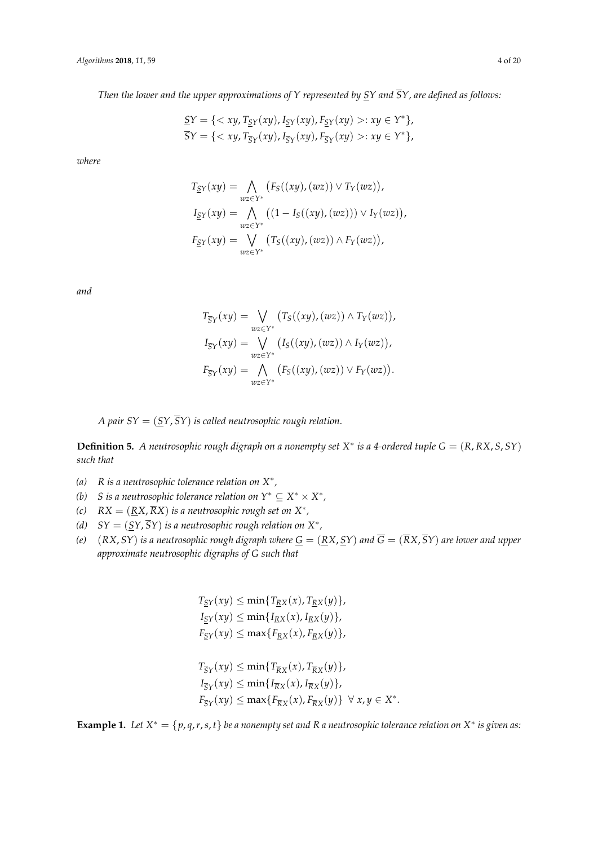*Then the lower and the upper approximations of Y represented by SY and SY, are defined as follows:*

$$
\underline{S}Y = \{ \langle xy, T_{\underline{S}Y}(xy), I_{\underline{S}Y}(xy), F_{\underline{S}Y}(xy) \rangle : xy \in Y^* \},
$$
  

$$
\overline{S}Y = \{ \langle xy, T_{\overline{S}Y}(xy), I_{\overline{S}Y}(xy), F_{\overline{S}Y}(xy) \rangle : xy \in Y^* \},
$$

*where*

$$
T_{\underline{S}Y}(xy) = \bigwedge_{wz \in Y^*} (F_S((xy), (wz)) \vee T_Y(wz)),
$$
  
\n
$$
I_{\underline{S}Y}(xy) = \bigwedge_{wz \in Y^*} ((1 - I_S((xy), (wz))) \vee I_Y(wz)),
$$
  
\n
$$
F_{\underline{S}Y}(xy) = \bigvee_{wz \in Y^*} (T_S((xy), (wz)) \wedge F_Y(wz)),
$$

*and*

$$
T_{\overline{S}Y}(xy) = \bigvee_{wz \in Y^*} (T_S((xy), (wz)) \wedge T_Y(wz)),
$$
  
\n
$$
I_{\overline{S}Y}(xy) = \bigvee_{wz \in Y^*} (I_S((xy), (wz)) \wedge I_Y(wz)),
$$
  
\n
$$
F_{\overline{S}Y}(xy) = \bigwedge_{wz \in Y^*} (F_S((xy), (wz)) \vee F_Y(wz)).
$$

*A pair SY* =  $(SY, \overline{S}Y)$  *is called neutrosophic rough relation.* 

**Definition 5.** *A neutrosophic rough digraph on a nonempty set X* ∗ *is a 4-ordered tuple G* = (*R*, *RX*, *S*, *SY*) *such that*

- *(a) R is a neutrosophic tolerance relation on X*∗ *,*
- *(b) S* is a neutrosophic tolerance relation on  $Y^* ⊆ X^* × X^*$ ,
- (c)  $RX = (RX, RX)$  *is a neutrosophic rough set on*  $X^*$ ,
- *(d)*  $SY = (\underline{SY}, SY)$  *is a neutrosophic rough relation on*  $X^*$ *,*
- *(e)*  $(RX, SY)$  *is a neutrosophic rough digraph where*  $\underline{G} = (\underline{R}X, \underline{S}Y)$  *and*  $\overline{G} = (\overline{R}X, \overline{S}Y)$  *are lower and upper approximate neutrosophic digraphs of G such that*

$$
T_{\underline{S}Y}(xy) \le \min\{T_{\underline{R}X}(x), T_{\underline{R}X}(y)\},
$$
  
\n
$$
I_{\underline{S}Y}(xy) \le \min\{I_{\underline{R}X}(x), I_{\underline{R}X}(y)\},
$$
  
\n
$$
F_{\underline{S}Y}(xy) \le \max\{F_{\underline{R}X}(x), F_{\underline{R}X}(y)\},
$$
  
\n
$$
T_{\overline{S}Y}(xy) \le \min\{T_{\overline{R}X}(x), T_{\overline{R}X}(y)\},
$$
  
\n
$$
I_{\overline{S}Y}(xy) \le \min\{I_{\overline{R}X}(x), I_{\overline{R}X}(y)\},
$$
  
\n
$$
F_{\overline{S}Y}(xy) \le \max\{F_{\overline{R}X}(x), F_{\overline{R}X}(y)\} \quad \forall x, y \in X
$$

**Example 1.** Let  $X^* = \{p, q, r, s, t\}$  be a nonempty set and R a neutrosophic tolerance relation on  $X^*$  is given as:

∗ .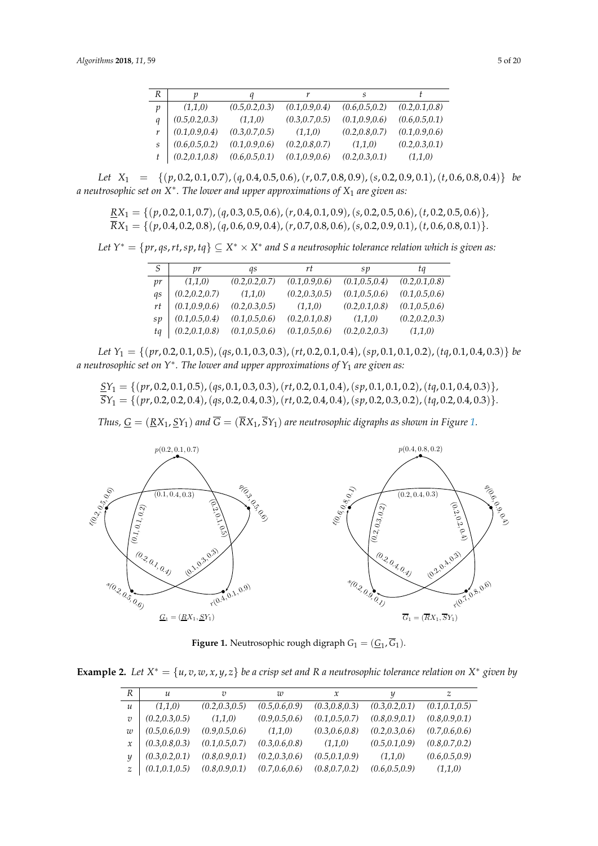| R | n               | a               |                 | S               |                 |
|---|-----------------|-----------------|-----------------|-----------------|-----------------|
| p | (1,1,0)         | (0.5, 0.2, 0.3) | (0.1, 0.9, 0.4) | (0.6, 0.5, 0.2) | (0.2, 0.1, 0.8) |
| q | (0.5, 0.2, 0.3) | (1,1,0)         | (0.3, 0.7, 0.5) | (0.1, 0.9, 0.6) | (0.6, 0.5, 0.1) |
| r | (0.1, 0.9, 0.4) | (0.3, 0.7, 0.5) | (1,1,0)         | (0.2, 0.8, 0.7) | (0.1, 0.9, 0.6) |
| S | (0.6, 0.5, 0.2) | (0.1, 0.9, 0.6) | (0.2, 0.8, 0.7) | (1,1,0)         | (0.2, 0.3, 0.1) |
|   | (0.2, 0.1, 0.8) | (0.6, 0.5, 0.1) | (0.1, 0.9, 0.6) | (0.2, 0.3, 0.1) | (1,1,0)         |

Let  $X_1 = \{(p, 0.2, 0.1, 0.7), (q, 0.4, 0.5, 0.6), (r, 0.7, 0.8, 0.9), (s, 0.2, 0.9, 0.1), (t, 0.6, 0.8, 0.4)\}\$ a neutrosophic set on X<sup>∗</sup>. The lower and upper approximations of X<sub>1</sub> are given as:

$$
\frac{RX_1}{RX_1} = \{ (p, 0.2, 0.1, 0.7), (q, 0.3, 0.5, 0.6), (r, 0.4, 0.1, 0.9), (s, 0.2, 0.5, 0.6), (t, 0.2, 0.5, 0.6) \},
$$
  

$$
\overline{RX}_1 = \{ (p, 0.4, 0.2, 0.8), (q, 0.6, 0.9, 0.4), (r, 0.7, 0.8, 0.6), (s, 0.2, 0.9, 0.1), (t, 0.6, 0.8, 0.1) \}.
$$

*Let Y*<sup>∗</sup> = {*pr*, *qs*,*rt*,*sp*, *tq*} ⊆ *X* <sup>∗</sup> × *X* ∗ *and S a neutrosophic tolerance relation which is given as:*  $\mathcal{L} = \{(\mathbf{p}, \mathbf{p}, \mathbf{p}, \mathbf{p}, \mathbf{p}, \mathbf{p}, \mathbf{p}, \mathbf{p}, \mathbf{p}, \mathbf{p}, \mathbf{p}, \mathbf{p}, \mathbf{p}, \mathbf{p}, \mathbf{p}, \mathbf{p}, \mathbf{p}, \mathbf{p}, \mathbf{p}, \mathbf{p}, \mathbf{p}, \mathbf{p}, \mathbf{p}, \mathbf{p}, \mathbf{p}, \mathbf{p}, \mathbf{p}, \mathbf{p}, \mathbf{p}, \mathbf{p}, \mathbf{p}, \mathbf{p}, \mathbf{p}, \mathbf{p}, \mathbf{p}, \$  $R^* = \{pr, qs, rt, sp, tq\} \subseteq X^* \times X^*$  and S a neutrosophic tolerance relation which is given as.

| S  | vr              | as              | rt              | sp              | ta              |
|----|-----------------|-----------------|-----------------|-----------------|-----------------|
| pr | (1,1,0)         | (0.2, 0.2, 0.7) | (0.1, 0.9, 0.6) | (0.1, 0.5, 0.4) | (0.2, 0.1, 0.8) |
| as | (0.2, 0.2, 0.7) | (1,1,0)         | (0.2, 0.3, 0.5) | (0.1, 0.5, 0.6) | (0.1, 0.5, 0.6) |
| rt | (0.1, 0.9, 0.6) | (0.2, 0.3, 0.5) | (1,1,0)         | (0.2, 0.1, 0.8) | (0.1, 0.5, 0.6) |
| sp | (0.1, 0.5, 0.4) | (0.1, 0.5, 0.6) | (0.2, 0.1, 0.8) | (1,1,0)         | (0.2, 0.2, 0.3) |
| ta | (0.2, 0.1, 0.8) | (0.1, 0.5, 0.6) | (0.1, 0.5, 0.6) | (0.2, 0.2, 0.3) | (1,1,0)         |

Let  $Y_1 = \{(pr, 0.2, 0.1, 0.5), (qs, 0.1, 0.3, 0.3), (rt, 0.2, 0.1, 0.4), (sp, 0.1, 0.1, 0.2), (tq, 0.1, 0.4, 0.3)\}\$ a neutrosophic set on  $Y^{\ast}.$  The lower and upper approximations of  $Y_{1}$  are given as:

*SY*<sup>1</sup> = {(*pr*, 0.2, 0.1, 0.5),(*qs*, 0.1, 0.3, 0.3),(*rt*, 0.2, 0.1, 0.4),(*sp*, 0.1, 0.1, 0.2),(*tq*, 0.1, 0.4, 0.3)}*, SY*<sup>1</sup> = {(*pr*, 0.2, 0.2, 0.4),(*qs*, 0.2, 0.4, 0.3),(*rt*, 0.2, 0.4, 0.4),(*sp*, 0.2, 0.3, 0.2),(*tq*, 0.2, 0.4, 0.3)}*.*  $\mathcal{L}_{\mathcal{L}}$  so to  $\mathcal{L}_{\mathcal{L}}$  and upper approximations of Y1 are given as:  $\mathcal{L}_{\mathcal{L}}$  $S_1 = \{(pr, 0.2, 0.2, 0.4), (qs, 0.2, 0.4, 0.3), (rt, 0.2, 0.4, 0.4), (sp, 0.2, 0.3, 0.2), (tq, 0.2, 0.4, 0.3)\}.$ SY<sup>1</sup> = {(pr, 0.2, 0.2, 0.4),(qs, 0.2, 0.4, 0.3),(rt, 0.2, 0.4, 0.4),(sp, 0.2, 0.3, 0.2),(tq, 0.2, 0.4, 0.3)}.

Thus,  $\underline{G}=(\underline{R}X_1,\underline{S}Y_1)$  and  $G=(RX_1,SY_1)$  are neutrosophic digraphs as shown in Figure [1.](#page-4-0)

<span id="page-4-0"></span>

**Figure 1.** Neutrosophic rough digraph  $G_1 = (\underline{G}_1, \overline{G}_1)$ .

**Example 2.** Let  $X^* = \{u, v, w, x, y, z\}$  be a crisp set and R a neutrosophic tolerance relation on  $X^*$  given by

| R              | $\mathcal{U}$   | $\overline{\upsilon}$ | w               | x               |                 | z               |
|----------------|-----------------|-----------------------|-----------------|-----------------|-----------------|-----------------|
| $\mathfrak u$  | (1.1.0)         | (0.2, 0.3, 0.5)       | (0.5, 0.6, 0.9) | (0.3, 0.8, 0.3) | (0.3, 0.2, 0.1) | (0.1, 0.1, 0.5) |
| $\overline{U}$ | (0.2, 0.3, 0.5) | (1,1,0)               | (0.9, 0.5, 0.6) | (0.1, 0.5, 0.7) | (0.8, 0.9, 0.1) | (0.8, 0.9, 0.1) |
| w              | (0.5, 0.6, 0.9) | (0.9, 0.5, 0.6)       | (1,1,0)         | (0.3, 0.6, 0.8) | (0.2, 0.3, 0.6) | (0.7, 0.6, 0.6) |
| $\mathcal{X}$  | (0.3, 0.8, 0.3) | (0.1, 0.5, 0.7)       | (0.3, 0.6, 0.8) | (1,1,0)         | (0.5, 0.1, 0.9) | (0.8, 0.7, 0.2) |
| Y              | (0.3, 0.2, 0.1) | (0.8, 0.9, 0.1)       | (0.2, 0.3, 0.6) | (0.5, 0.1, 0.9) | (1,1,0)         | (0.6, 0.5, 0.9) |
| $\mathcal{Z}$  | (0.1, 0.1, 0.5) | (0.8, 0.9, 0.1)       | (0.7, 0.6, 0.6) | (0.8, 0.7, 0.2) | (0.6, 0.5, 0.9) | (1,1,0)         |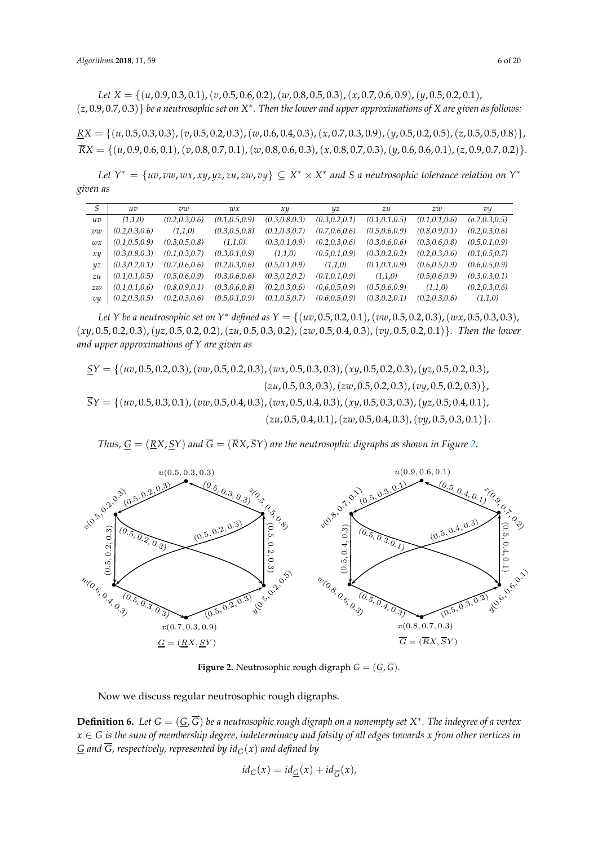Let  $X = \{(u, 0.9, 0.3, 0.1), (v, 0.5, 0.6, 0.2), (w, 0.8, 0.5, 0.3), (x, 0.7, 0.6, 0.9), (y, 0.5, 0.2, 0.1),$  $(z, 0.9, 0.7, 0.3)$ } be a neutrosophic set on  $X^*$ . Then the lower and upper approximations of X are given as follows:

 $\underline{RX} = \{(u, 0.5, 0.3, 0.3), (v, 0.5, 0.2, 0.3), (w, 0.6, 0.4, 0.3), (x, 0.7, 0.3, 0.9), (y, 0.5, 0.2, 0.5), (z, 0.5, 0.5, 0.8)\},\$  $RX = \{(u, 0.9, 0.6, 0.1), (v, 0.8, 0.7, 0.1), (w, 0.8, 0.6, 0.3), (x, 0.8, 0.7, 0.3), (y, 0.6, 0.6, 0.1), (z, 0.9, 0.7, 0.2)\}.$ 

Let  $Y^* = \{uv, vw, wx, xy, yz, zu, zw, vy\} \subseteq X^* \times X^*$  and S a neutrosophic tolerance relation on  $Y^*$ *given as*

| S             | uv              | vw              | wx              | x y             | yz              | zu              | zw              | vy              |
|---------------|-----------------|-----------------|-----------------|-----------------|-----------------|-----------------|-----------------|-----------------|
| uv            | (1.1.0)         | (0.2, 0.3, 0.6) | (0.1, 0.5, 0.9) | (0.3, 0.8, 0.3) | (0.3, 0.2, 0.1) | (0.1, 0.1, 0.5) | (0.1, 0.1, 0.6) | (0.2, 0.3, 0.5) |
| $vw$          | (0.2, 0.3, 0.6) | (1,1,0)         | (0.3, 0.5, 0.8) | (0.1, 0.3, 0.7) | (0.7, 0.6, 0.6) | (0.5, 0.6, 0.9) | (0.8, 0.9, 0.1) | (0.2, 0.3, 0.6) |
| $w\mathbf{x}$ | (0.1, 0.5, 0.9) | (0.3, 0.5, 0.8) | (1,1,0)         | (0.3, 0.1, 0.9) | (0.2, 0.3, 0.6) | (0.3, 0.6, 0.6) | (0.3, 0.6, 0.8) | (0.5, 0.1, 0.9) |
| xu            | (0.3, 0.8, 0.3) | (0.1, 0.3, 0.7) | (0.3, 0.1, 0.9) | (1,1,0)         | (0.5, 0.1, 0.9) | (0.3, 0.2, 0.2) | (0.2, 0.3, 0.6) | (0.1, 0.5, 0.7) |
| yz            | (0.3, 0.2, 0.1) | (0.7, 0.6, 0.6) | (0.2, 0.3, 0.6) | (0.5, 0.1, 0.9) | (1,1,0)         | (0.1, 0.1, 0.9) | (0.6, 0.5, 0.9) | (0.6, 0.5, 0.9) |
| zu            | (0.1, 0.1, 0.5) | (0.5, 0.6, 0.9) | (0.3, 0.6, 0.6) | (0.3, 0.2, 0.2) | (0.1, 0.1, 0.9) | (1,1,0)         | (0.5, 0.6, 0.9) | (0.3, 0.3, 0.1) |
| zw            | (0.1, 0.1, 0.6) | (0.8, 0.9, 0.1) | (0.3, 0.6, 0.8) | (0.2, 0.3, 0.6) | (0.6, 0.5, 0.9) | (0.5, 0.6, 0.9) | (1,1,0)         | (0.2, 0.3, 0.6) |
| vy            | (0.2, 0.3, 0.5) | (0.2, 0.3, 0.6) | (0.5, 0.1, 0.9) | (0.1, 0.5, 0.7) | (0.6, 0.5, 0.9) | (0.3, 0.2, 0.1) | (0.2, 0.3, 0.6) | (1,1,0)         |

Let Y be a neutrosophic set on Y\* defined as Y = { $(uv, 0.5, 0.2, 0.1)$ ,  $(vw, 0.5, 0.2, 0.3)$ ,  $(wx, 0.5, 0.3, 0.3)$ ,  $(xy, 0.5, 0.2, 0.3), (yz, 0.5, 0.2, 0.2), (zu, 0.5, 0.3, 0.2), (zw, 0.5, 0.4, 0.3), (vy, 0.5, 0.2, 0.1)\}.$  Then the lower and upper approximations of Y are given as Let Y be a neutrosopnic set on Y + aefined as Y = {(uv, 0.5, 0.2, 0.1), (vw, 0.5, 0.2, 0.3), (wx, 0.5, 0.3, 0.3),

*SY* = {(*uv*, 0.5, 0.2, 0.3),(*vw*, 0.5, 0.2, 0.3),(*wx*, 0.5, 0.3, 0.3),(*xy*, 0.5, 0.2, 0.3),(*yz*, 0.5, 0.2, 0.3),  $(zu, 0.5, 0.3, 0.3), (zw, 0.5, 0.2, 0.3), (vy, 0.5, 0.2, 0.3)\},$  $\overline{S}Y = \{(uv, 0.5, 0.3, 0.1), (vw, 0.5, 0.4, 0.3), (wx, 0.5, 0.4, 0.3), (xy, 0.5, 0.3, 0.3), (yz, 0.5, 0.4, 0.1),$  $(zu, 0.5, 0.4, 0.1), (zw, 0.5, 0.4, 0.3), (vy, 0.5, 0.3, 0.1)\}.$ per  $\left( \frac{1}{2} \right)$  are given as  $\left( \frac{1}{2} \right)$  $\left(\frac{1}{2}, \frac{1}{2}, \frac{1}{2}, \frac{1}{2}, \frac{1}{2}, \frac{1}{2}, \frac{1}{2}, \frac{1}{2}, \frac{1}{2}, \frac{1}{2}, \frac{1}{2}, \frac{1}{2}, \frac{1}{2}, \frac{1}{2}, \frac{1}{2}, \frac{1}{2}, \frac{1}{2}, \frac{1}{2}, \frac{1}{2}, \frac{1}{2}, \frac{1}{2}, \frac{1}{2}, \frac{1}{2}, \frac{1}{2}, \frac{1}{2}, \frac{1}{2}, \frac{1}{2}, \frac{1}{2}, \frac{1}{2}, \frac{1}{2}, \frac{1}{2}, \$ 

Thus,  $\underline{G}=(\underline{R}X,\underline{S}Y)$  and  $G=(RX,SY)$  are the neutrosophic digraphs as shown in Figure [2.](#page-5-0)

<span id="page-5-0"></span>

**Figure 2.** Neutrosophic rough digraph  $G = (\underline{G}, G)$ .

Now we discuss regular neutrosophic rough digraphs.

6 **Definition 6.** *Let G* = (*G*, *G*) *be a neutrosophic rough digraph on a nonempty set X* ∗ *. The indegree of a vertex x* ∈ *G is the sum of membership degree, indeterminacy and falsity of all edges towards x from other vertices in G* and  $\overline{G}$ , respectively, represented by  $id_G(x)$  and defined by

$$
id_G(x) = id_{\underline{G}}(x) + id_{\overline{G}}(x),
$$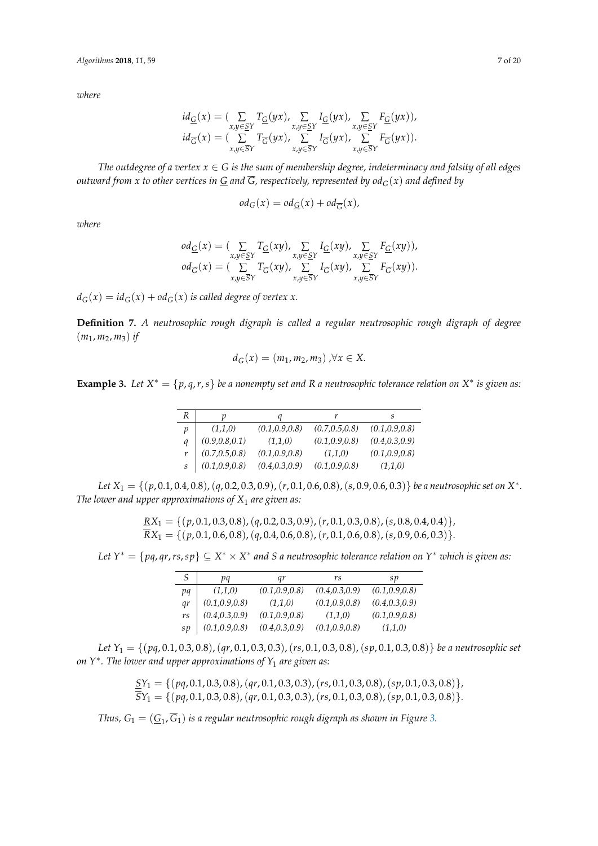*where*

$$
\begin{array}{l} \displaystyle id_{\underline{G}}(x) = \big(\sum_{x,y \in \underline{S}Y} T_{\underline{G}}(yx), \sum_{x,y \in \underline{S}Y} I_{\underline{G}}(yx), \sum_{x,y \in \underline{S}Y} F_{\underline{G}}(yx)\big), \\ \displaystyle id_{\overline{G}}(x) = \big(\sum_{x,y \in \overline{S}Y} T_{\overline{G}}(yx), \sum_{x,y \in \overline{S}Y} I_{\overline{G}}(yx), \sum_{x,y \in \overline{S}Y} F_{\overline{G}}(yx)\big). \end{array}
$$

*The outdegree of a vertex*  $x \in G$  *is the sum of membership degree, indeterminacy and falsity of all edges outward from x to other vertices in G and*  $\overline{G}$ *, respectively, represented by od*<sub> $G$ </sub>(*x*) *and defined by* 

$$
od_G(x) = od_{\underline{G}}(x) + od_{\overline{G}}(x),
$$

*where*

$$
od_{\overline{G}}(x) = (\sum_{x,y \in \overline{S}Y} T_{\overline{G}}(xy), \sum_{x,y \in \overline{S}Y} I_{\overline{G}}(xy), \sum_{x,y \in \overline{S}Y} F_{\overline{G}}(xy)),
$$
  

$$
od_{\overline{G}}(x) = (\sum_{x,y \in \overline{S}Y} T_{\overline{G}}(xy), \sum_{x,y \in \overline{S}Y} I_{\overline{G}}(xy), \sum_{x,y \in \overline{S}Y} F_{\overline{G}}(xy)).
$$

 $d_G(x) = id_G(x) + od_G(x)$  *is called degree of vertex x.* 

**Definition 7.** *A neutrosophic rough digraph is called a regular neutrosophic rough digraph of degree*  $(m_1, m_2, m_3)$  *if* 

$$
d_G(x) = (m_1, m_2, m_3), \forall x \in X.
$$

**Example 3.** Let  $X^* = \{p, q, r, s\}$  be a nonempty set and R a neutrosophic tolerance relation on  $X^*$  is given as:

| R             |                 |                 |                 | S               |
|---------------|-----------------|-----------------|-----------------|-----------------|
| $\mathcal{D}$ | (1,1,0)         | (0.1, 0.9, 0.8) | (0.7, 0.5, 0.8) | (0.1, 0.9, 0.8) |
| a             | (0.9, 0.8, 0.1) | (1,1,0)         | (0.1, 0.9, 0.8) | (0.4, 0.3, 0.9) |
|               | (0.7, 0.5, 0.8) | (0.1, 0.9, 0.8) | (1,1,0)         | (0.1, 0.9, 0.8) |
|               | (0.1, 0.9, 0.8) | (0.4, 0.3, 0.9) | (0.1, 0.9, 0.8) | (1,1,0)         |

*Let X*<sup>1</sup> = {(*p*, 0.1, 0.4, 0.8),(*q*, 0.2, 0.3, 0.9),(*r*, 0.1, 0.6, 0.8),(*s*, 0.9, 0.6, 0.3)} *be a neutrosophic set on X* ∗ *. The lower and upper approximations of X*<sup>1</sup> *are given as:*

$$
\underline{RX}_1 = \{ (p, 0.1, 0.3, 0.8), (q, 0.2, 0.3, 0.9), (r, 0.1, 0.3, 0.8), (s, 0.8, 0.4, 0.4) \},
$$
  

$$
\overline{RX}_1 = \{ (p, 0.1, 0.6, 0.8), (q, 0.4, 0.6, 0.8), (r, 0.1, 0.6, 0.8), (s, 0.9, 0.6, 0.3) \}.
$$

*Let Y*<sup>∗</sup> = {*pq*, *qr*,*rs*,*sp*} ⊆ *X* <sup>∗</sup> × *X* ∗ *and S a neutrosophic tolerance relation on Y*∗ *which is given as:*

| S               | pq              | qr              | rs              | sp              |
|-----------------|-----------------|-----------------|-----------------|-----------------|
| pq              | (1,1,0)         | (0.1, 0.9, 0.8) | (0.4, 0.3, 0.9) | (0.1, 0.9, 0.8) |
| gr              | (0.1, 0.9, 0.8) | (1,1,0)         | (0.1, 0.9, 0.8) | (0.4, 0.3, 0.9) |
| rs              | (0.4, 0.3, 0.9) | (0.1, 0.9, 0.8) | (1,1,0)         | (0.1, 0.9, 0.8) |
| $\mathfrak{sp}$ | (0.1, 0.9, 0.8) | (0.4, 0.3, 0.9) | (0.1, 0.9, 0.8) | (1,1,0)         |

*Let Y*<sup>1</sup> = {(*pq*, 0.1, 0.3, 0.8),(*qr*, 0.1, 0.3, 0.3),(*rs*, 0.1, 0.3, 0.8),(*sp*, 0.1, 0.3, 0.8)} *be a neutrosophic set on Y*∗ *. The lower and upper approximations of Y*<sup>1</sup> *are given as:*

$$
\frac{SY_1}{SY_1} = \{ (pq, 0.1, 0.3, 0.8), (qr, 0.1, 0.3, 0.3), (rs, 0.1, 0.3, 0.8), (sp, 0.1, 0.3, 0.8) \},
$$
  

$$
\overline{SY_1} = \{ (pq, 0.1, 0.3, 0.8), (qr, 0.1, 0.3, 0.3), (rs, 0.1, 0.3, 0.8), (sp, 0.1, 0.3, 0.8) \}.
$$

*Thus, G*<sup>1</sup> = (*G*<sup>1</sup> , *G*1) *is a regular neutrosophic rough digraph as shown in Figure [3.](#page-7-0)*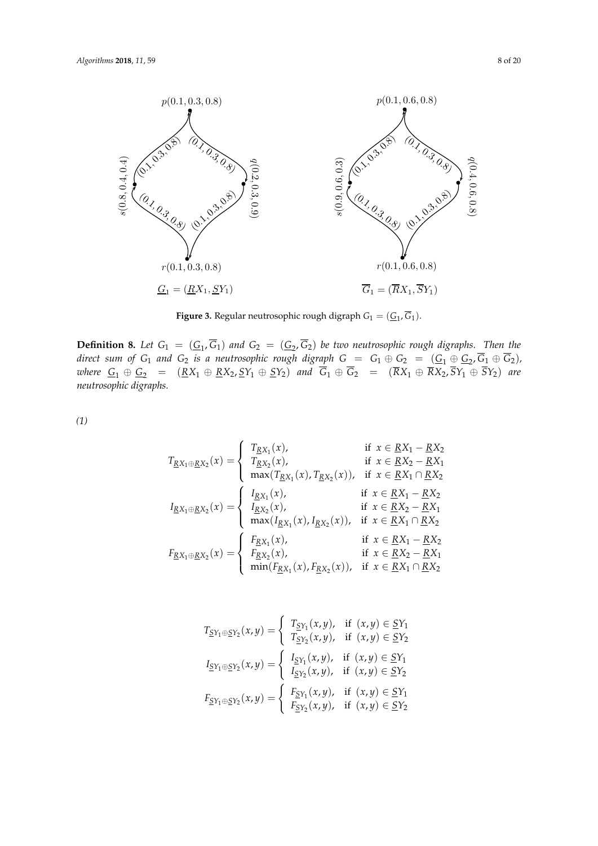<span id="page-7-0"></span>

**Figure 3.** Regular neutrosophic rough digraph  $G_1 = (\underline{G}_1, \overline{G}_1)$ .

**8.** Let  $G_1 = (\underline{G}_1, G_1)$  and  $G_2 = (\underline{G}_2, G_2)$  be two neutrosophic rough digrap of  $G_1$  and  $G_2$  is a neutrosophic rough digraph  $G = G_1 \oplus G_2 = (\underline{G}_1 \oplus \underline{G}_1)$ where  $G_1 \oplus G_2 = (KX_1 \oplus KX_2, SY_1 \oplus SY_2)$  and  $G_1 \oplus G_2 = (RX_1 \oplus X_2, \oplus Y_1)$ Definition 2.8. Let G<sup>1</sup> = (G<sup>1</sup> *neutrosophic digraphs.* **Definition 8.** Let  $G_1 = (G_1, G_1)$  and  $G_2 = (G_2, G_2)$  be two neutrosophic rough digraphs. Then the *direct sum of*  $G_1$  *and*  $G_2$  *is a neutrosophic rough digraph*  $G = G_1 \oplus G_2 = (G_1 \oplus G_2, G_1 \oplus G_2)$ ,  $w$ *here*  $G_1 \oplus G_2 = (RX_1 \oplus RX_2, SY_1 \oplus SY_2)$  and  $G_1 \oplus G_2 = (RX_1 \oplus RX_2, SY_1 \oplus SY_2)$  are

 $(1)$ *(1)*

$$
T_{RX_1 \oplus RX_2}(x) = \begin{cases} T_{RX_1}(x), & \text{if } x \in RX_1 - RX_2 \\ T_{RX_2}(x), & \text{if } x \in RX_2 - RX_1 \\ \max(T_{RX_1}(x), T_{RX_2}(x)), & \text{if } x \in RX_1 \cap RX_2 \end{cases}
$$
  

$$
I_{RX_1 \oplus RX_2}(x) = \begin{cases} I_{RX_1}(x), & \text{if } x \in RX_1 - RX_2 \\ I_{RX_2}(x), & \text{if } x \in RX_1 - RX_2 \\ \max(I_{RX_1}(x), I_{RX_2}(x)), & \text{if } x \in RX_1 \cap RX_2 \end{cases}
$$
  

$$
F_{RX_1 \oplus RX_2}(x) = \begin{cases} F_{RX_1}(x), & \text{if } x \in RX_1 - RX_2 \\ F_{RX_2}(x), & \text{if } x \in RX_1 - RX_2 \\ F_{RX_2}(x), & \text{if } x \in RX_2 - RX_1 \\ \min(F_{RX_1}(x), F_{RX_2}(x)), & \text{if } x \in RX_1 \cap RX_2 \end{cases}
$$

$$
T_{\underline{S}Y_1 \oplus \underline{S}Y_2}(x, y) = \begin{cases} T_{\underline{S}Y_1}(x, y), & \text{if } (x, y) \in \underline{S}Y_1 \\ T_{\underline{S}Y_2}(x, y), & \text{if } (x, y) \in \underline{S}Y_2 \end{cases}
$$

$$
I_{\underline{S}Y_1 \oplus \underline{S}Y_2}(x, y) = \begin{cases} I_{\underline{S}Y_1}(x, y), & \text{if } (x, y) \in \underline{S}Y_1 \\ I_{\underline{S}Y_2}(x, y), & \text{if } (x, y) \in \underline{S}Y_2 \end{cases}
$$

$$
F_{\underline{S}Y_1 \oplus \underline{S}Y_2}(x, y) = \begin{cases} F_{\underline{S}Y_1}(x, y), & \text{if } (x, y) \in \underline{S}Y_1 \\ F_{\underline{S}Y_2}(x, y), & \text{if } (x, y) \in \underline{S}Y_2 \end{cases}
$$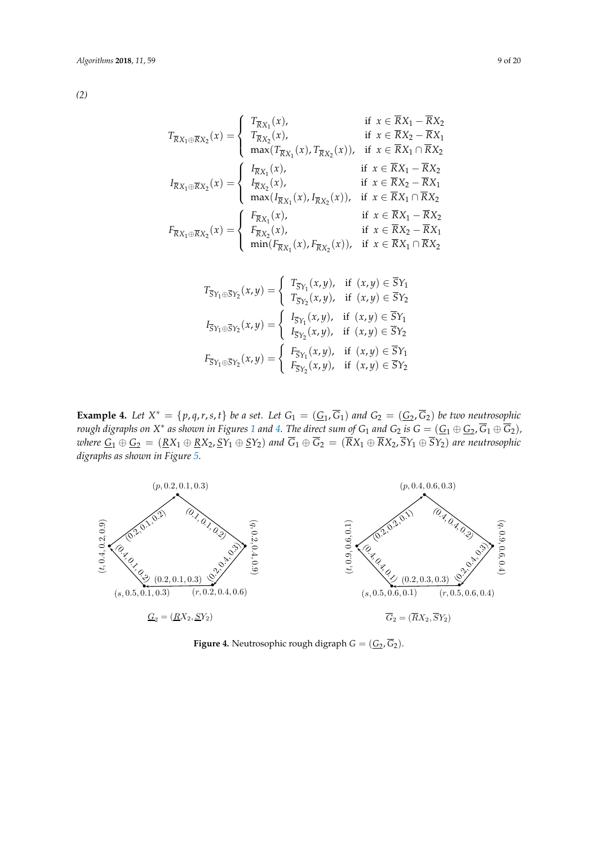$$
T_{\overline{R}X_1 \oplus \overline{R}X_2}(x) = \begin{cases} T_{\overline{R}X_1}(x), & \text{if } x \in \overline{R}X_1 - \overline{R}X_2 \\ T_{\overline{R}X_2}(x), & \text{if } x \in \overline{R}X_2 - \overline{R}X_1 \\ \max(T_{\overline{R}X_1}(x), T_{\overline{R}X_2}(x)), & \text{if } x \in \overline{R}X_1 \cap \overline{R}X_2 \end{cases}
$$
  

$$
I_{\overline{R}X_1 \oplus \overline{R}X_2}(x) = \begin{cases} I_{\overline{R}X_1}(x), & \text{if } x \in \overline{R}X_1 - \overline{R}X_2 \\ I_{\overline{R}X_2}(x), & \text{if } x \in \overline{R}X_1 - \overline{R}X_2 \\ \max(I_{\overline{R}X_1}(x), I_{\overline{R}X_2}(x)), & \text{if } x \in \overline{R}X_1 \cap \overline{R}X_2 \end{cases}
$$
  

$$
F_{\overline{R}X_1 \oplus \overline{R}X_2}(x) = \begin{cases} F_{\overline{R}X_1}(x), & \text{if } x \in \overline{R}X_1 - \overline{R}X_2 \\ F_{\overline{R}X_2}(x), & \text{if } x \in \overline{R}X_1 - \overline{R}X_2 \\ \min(I_{\overline{R}X_1}(x), I_{\overline{R}X_2}(x)), & \text{if } x \in \overline{R}X_1 \cap \overline{R}X_2 \end{cases}
$$

$$
T_{\overline{S}Y_1 \oplus \overline{S}Y_2}(x,y) = \begin{cases} T_{\overline{S}Y_1}(x,y), & \text{if } (x,y) \in \overline{S}Y_1 \\ T_{\overline{S}Y_2}(x,y), & \text{if } (x,y) \in \overline{S}Y_2 \end{cases}
$$

$$
I_{\overline{S}Y_1 \oplus \overline{S}Y_2}(x,y) = \begin{cases} I_{\overline{S}Y_1}(x,y), & \text{if } (x,y) \in \overline{S}Y_1 \\ I_{\overline{S}Y_2}(x,y), & \text{if } (x,y) \in \overline{S}Y_2 \end{cases}
$$

$$
F_{\overline{S}Y_1 \oplus \overline{S}Y_2}(x,y) = \begin{cases} F_{\overline{S}Y_1}(x,y), & \text{if } (x,y) \in \overline{S}Y_1 \\ F_{\overline{S}Y_2}(x,y), & \text{if } (x,y) \in \overline{S}Y_2 \end{cases}
$$

**Example 4.** Let  $X^* = \{p, q, r, s, t\}$  be a set. Let  $G_1 = (\underline{G}_1, G_1)$  and  $G_2 = (\underline{G}_2, G_2)$  be two neutrosophic rough digraphs on X\* as shown in Figures [1](#page-4-0) and [4.](#page-8-0) The direct sum of G1 and G2 is  $G = (\underline{G_1 \oplus G_2}, G_1 \oplus G_2)$ ,  $W$  *where*  $G_1 \oplus G_2 = (RX_1 \oplus RX_2, SY_1 \oplus SY_2)$  and  $G_1 \oplus G_2 = (RX_1 \oplus RX_2, SY_1 \oplus SY_2)$  are neutrosophic digraphs as shown in Figure [5.](#page-9-0) Example 1. Etc  $X = (p, q, r, s, t)$  be a set. Let  $G_1 = (\underline{G}_1, G_1)$  and  $G_2 = (\underline{G}_2, G_2)$  be two neutrosophic<br>rough digraphs on  $X^*$  as shown in Figures 1 and 4. The direct sum of  $G_1$  and  $G_2$  is  $G = (G_1 \oplus G_2, \overline{G}_1 \oplus \over$ rough digraphs on  $\overline{X}$  is shown in Figures 1 and  $\overline{X}$  in the direct sum of  $G_1$  and  $\overline{G}_2 = (\overline{R}X_1 \oplus \overline{R}X_2, \overline{S}Y_1 \oplus \overline{S}Y_2)$  are neutrosophic , G1 ⊕ G2), G2<br>, G1 ⊕ G2), G2 where  $\underline{G_1 \oplus \underline{G_2}} = (\underline{R_1} \oplus \underline{R_2} \underline{R_1} \oplus \underline{R_2} \underline{R_2})$  and  $\overline{G_1 \oplus G_2} = (\overline{R_1} \oplus \overline{R_2} \underline{R_2} \underline{R_1} \oplus \overline{R_2} \underline{R_2})$  are neutrosophic digraphs as shown in Figure 5.

<span id="page-8-0"></span>

**Figure 4.** Neutrosophic rough digraph  $G = (\underline{G}_2, G_2)$ .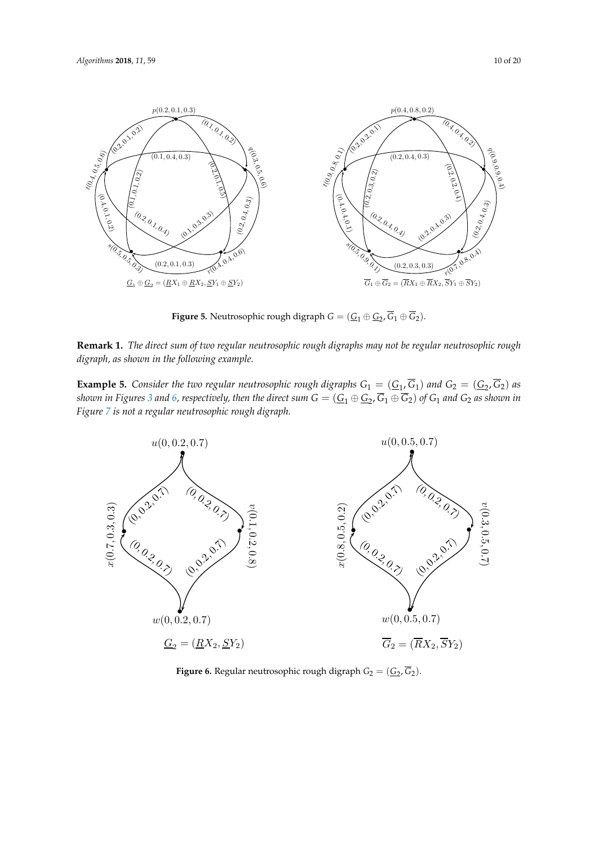<span id="page-9-0"></span>

 $F' = N \cdot (N+1)$  Neutrosophic  $(G \circ G, \overline{G} \circ \overline{G})$ **Figure 5.** Neutrosophic rough digraph  $G = (\underline{G}_1 \oplus \underline{G}_2, \overline{G}_1 \oplus \overline{G}_2)$ .  $\mathfrak{Z}_1$  (

**Remark 1.** *The direct sum of two regular neutrosophic rough digraph*  $G = (\underline{G}_1 \oplus \underline{G}_2, G_1 \oplus G_2).$  **Remark 1.** *The direct sum of two regular neutrosophic rough digraphs may not be regular neutrosophic rough digraph, as shown in the following example.*  $\mathcal{C} = (\mathcal{C}, \overline{\mathcal{C}})$  and  $\mathcal{C} = (\mathcal{C}, \overline{\mathcal{C}})$ 

Figure [7](#page-10-0) is not a regular neutrosophic rough digraph.<br>**Figure 7** is not a regular neutrosophic rough digraph. eu<br>n **5.**<br>Fig<br>s no Consider the two regular neutrosophic rough digraphs  $G_1 = (\underline{G}_1, \overline{G}_1)$  and C<br>res 3 and 6, respectively, then the direct sum  $G = (\underline{G}_1 \oplus \underline{G}_2, \overline{G}_1 \oplus \overline{G}_2)$  of  $G_1$  ar r2<br>id  $\lim_{x\to 0}$ **Example 5.** Consider the two regular neutrosophic rough digraphs  $G_1 = (\underline{G}_1, \overline{G}_1)$  and  $G_2 = (\underline{G}_2, \overline{G}_2)$  as shown in Figures 3 and 6, respectively, then the direct sum  $G = (G_1 \oplus G_2, \overline{G}_1 \oplus \overline{G}_2)$  of  $G_1$  a  $s$ hown in Figures [3](#page-7-0) and [6,](#page-9-1) respectively, then the direct sum  $G=(\underline{G}_1\oplus \underline{G}_2, G_1\oplus G_2)$  of  $G_1$  and  $G_2$  as shown in Figures 3 and 6 reconctinely then the direct cum  $G = (G \oplus G \overline{G}, \oplus \overline{G})$  of G, and  $G_2$  as shown

<span id="page-9-1"></span>

**Figure 6.** Regular neutrosophic rough digraph  $G_2 = (\underline{G}_2, \overline{G}_2)$ .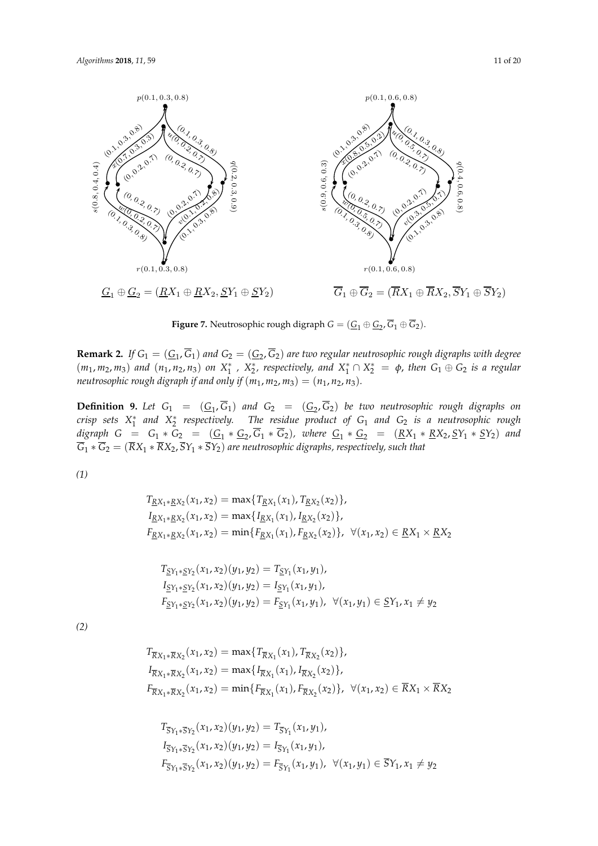<span id="page-10-0"></span>

**Figure 7.** Neutrosophic rough digraph  $G = (\underline{G}_1 \oplus \underline{G}_2, \overline{G}_1 \oplus \overline{G}_2)$ .

**Remark 2.** If  $G_1 = (\underline{G}_1, \overline{G}_1)$  and  $G_2 = (\underline{G}_2, \overline{G}_2)$  are two regular neutrosophic rough digraphs with degree  $(m_1, m_2, m_3)$  and  $(n_1, n_2, n_3)$  on  $X_1^*$ ,  $X_2^*$ , respectively, and  $X_1^* \cap X_2^* = \phi$ , then  $G_1 \oplus G_2$  is a regular *neutrosophic rough digraph if and only if*  $(m_1, m_2, m_3) = (n_1, n_2, n_3)$ *.* 

 $\overline{R}X_1 * \overline{R}X_2, \overline{S}Y_1 * \overline{S}Y_2$  are neutrosophic digraphs, r **Definition 9.** Let  $G_1 = (G_1, G_1)$  and  $G_2 = (G_2, G_2)$  be two neutrosophic rough digraphs on *crisp sets X* ∗ 1 *and X* ∗ 2 *respectively. The residue product of G*<sup>1</sup> *and G*<sup>2</sup> *is a neutrosophic rough digraph G* =  $G_1 * G_2 = (G_1 * G_2, G_1 * G_2)$ *, where*  $G_1 * G_2 = (RX_1 * RX_2, SY_1 * SY_2)$  *and G*<sup>1</sup> ∗ *G*<sup>2</sup> = (*RX*<sup>1</sup> ∗ *RX*2, *SY*<sup>1</sup> ∗ *SY*2) *are neutrosophic digraphs, respectively, such that*

*(1)*

$$
T_{\underline{RX}_1 * \underline{RX}_2}(x_1, x_2) = \max\{T_{\underline{RX}_1}(x_1), T_{\underline{RX}_2}(x_2)\},
$$
  
\n
$$
I_{\underline{RX}_1 * \underline{RX}_2}(x_1, x_2) = \max\{I_{\underline{RX}_1}(x_1), I_{\underline{RX}_2}(x_2)\},
$$
  
\n
$$
F_{\underline{RX}_1 * \underline{RX}_2}(x_1, x_2) = \min\{F_{\underline{RX}_1}(x_1), F_{\underline{RX}_2}(x_2)\}, \ \forall (x_1, x_2) \in \underline{RX}_1 \times \underline{RX}_2
$$

$$
T_{\underline{S}Y_1 * \underline{S}Y_2}(x_1, x_2)(y_1, y_2) = T_{\underline{S}Y_1}(x_1, y_1),
$$
  
\n
$$
I_{\underline{S}Y_1 * \underline{S}Y_2}(x_1, x_2)(y_1, y_2) = I_{\underline{S}Y_1}(x_1, y_1),
$$
  
\n
$$
F_{\underline{S}Y_1 * \underline{S}Y_2}(x_1, x_2)(y_1, y_2) = F_{\underline{S}Y_1}(x_1, y_1), \quad \forall (x_1, y_1) \in \underline{S}Y_1, x_1 \neq y_2
$$

 $(2)$ *(2)*

$$
T_{\overline{R}X_1 * \overline{R}X_2}(x_1, x_2) = \max\{T_{\overline{R}X_1}(x_1), T_{\overline{R}X_2}(x_2)\},
$$
  
\n
$$
I_{\overline{R}X_1 * \overline{R}X_2}(x_1, x_2) = \max\{I_{\overline{R}X_1}(x_1), I_{\overline{R}X_2}(x_2)\},
$$
  
\n
$$
F_{\overline{R}X_1 * \overline{R}X_2}(x_1, x_2) = \min\{F_{\overline{R}X_1}(x_1), F_{\overline{R}X_2}(x_2)\}, \ \forall (x_1, x_2) \in \overline{R}X_1 \times \overline{R}X_2
$$

$$
T_{\overline{S}Y_1 * \overline{S}Y_2}(x_1, x_2)(y_1, y_2) = T_{\overline{S}Y_1}(x_1, y_1),
$$
  
\n
$$
I_{\overline{S}Y_1 * \overline{S}Y_2}(x_1, x_2)(y_1, y_2) = I_{\overline{S}Y_1}(x_1, y_1),
$$
  
\n
$$
F_{\overline{S}Y_1 * \overline{S}Y_2}(x_1, x_2)(y_1, y_2) = F_{\overline{S}Y_1}(x_1, y_1), \forall (x_1, y_1) \in \overline{S}Y_1, x_1 \neq y_2
$$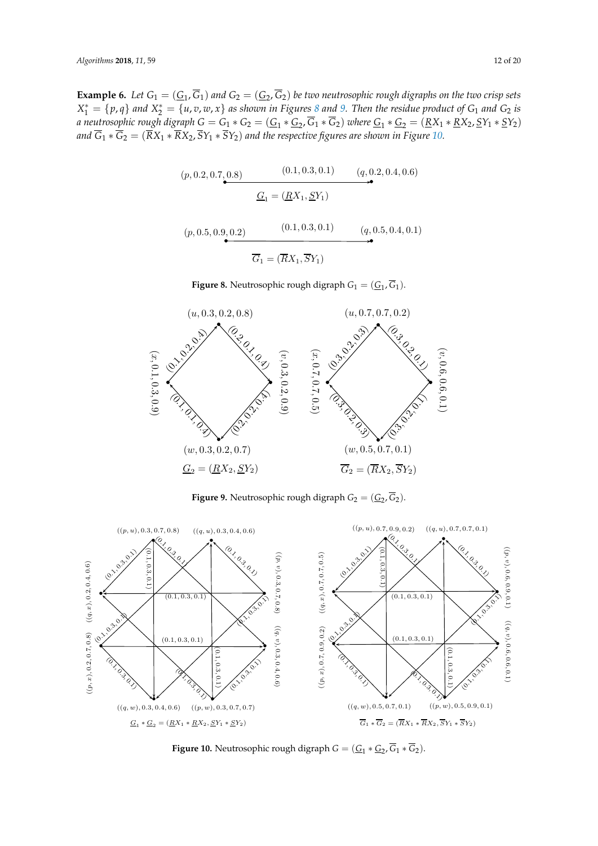<span id="page-11-0"></span>**Example 6.** Let  $G_1 = (\underline{G_1}, G_1)$  and  $G_2 = (\underline{G_2}, G_2)$  be two neutrosophic rough digraphs on the two crisp sets  $X_1^* = \{p, q\}$  and  $X_2^* = \{u, v, w, x\}$  as shown in Figures [8](#page-11-0) and [9.](#page-11-1) Then the residue product of  $G_1$  and  $G_2$  is *a neutrosophic rough digraph*  $G = G_1 * G_2 = (\underline{G}_1 * \underline{G}_2, G_1 * G_2)$  where  $\underline{G}_1 * \underline{G}_2 = (\underline{R}X_1 * \underline{R}X_2, \underline{S}Y_1 * \underline{S}Y_2)$ *and G*<sup>1</sup> ∗ *G*<sup>2</sup> = (*RX*<sup>1</sup> ∗ *RX*2, *SY*<sup>1</sup> ∗ *SY*2) *and the respective figures are shown in Figure [10.](#page-11-2)*

$$
(p, 0.2, 0.7, 0.8) \t (0.1, 0.3, 0.1) \t (q, 0.2, 0.4, 0.6)
$$
  

$$
\underline{G}_1 = (\underline{R}X_1, \underline{S}Y_1)
$$

$$
(p, 0.5, 0.9, 0.2)
$$
\n
$$
\overline{G}_1 = (\overline{R}X_1, \overline{S}Y_1)
$$
\n(9.0.5, 0.4, 0.1)

**Figure 8.** Neutrosophic rough digraph  $G_1 = (\underline{G}_1, \overline{G}_1)$ .

<span id="page-11-1"></span>

**Figure 9.** Neutrosophic rough digraph  $G_2 = (\underline{G}_2, \overline{G}_2)$ .

<span id="page-11-2"></span>

Figure 10. Neutrosophic rough digraph  $G=(\underline{G}_1*\underline{G}_2,\overline{G}_1*\overline{G}_2).$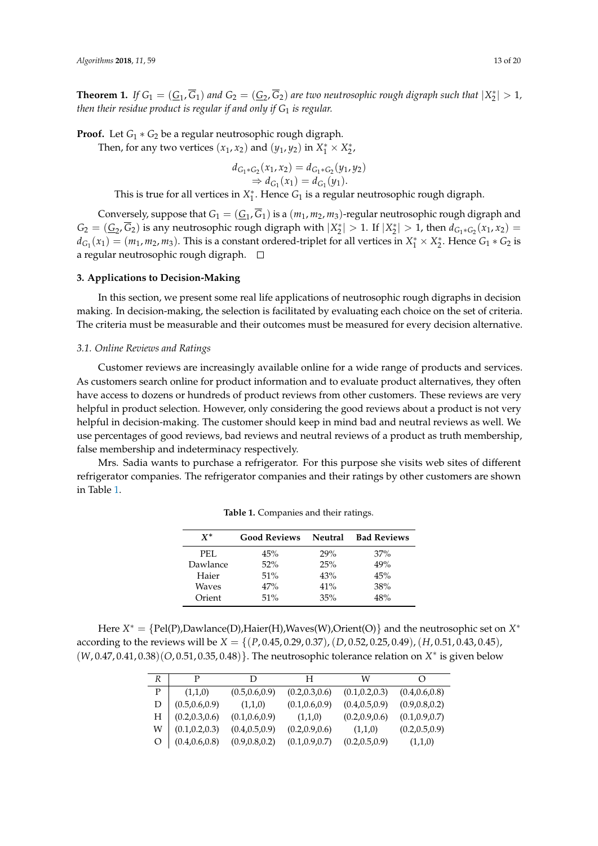**Theorem 1.** If  $G_1 = (G_1, G_1)$  and  $G_2 = (G_2, G_2)$  are two neutrosophic rough digraph such that  $|X_2^*| > 1$ , *then their residue product is regular if and only if G*<sup>1</sup> *is regular.*

**Proof.** Let *G*<sup>1</sup> ∗ *G*<sup>2</sup> be a regular neutrosophic rough digraph.

Then, for any two vertices  $(x_1, x_2)$  and  $(y_1, y_2)$  in  $X_1^* \times X_2^*$ ,

$$
d_{G_1 * G_2}(x_1, x_2) = d_{G_1 * G_2}(y_1, y_2)
$$
  
\n
$$
\Rightarrow d_{G_1}(x_1) = d_{G_1}(y_1).
$$

This is true for all vertices in  $X_1^*$ . Hence  $G_1$  is a regular neutrosophic rough digraph.

Conversely, suppose that  $G_1 = (\underline{G}_1, G_1)$  is a  $(m_1, m_2, m_3)$ -regular neutrosophic rough digraph and  $G_2 = (\underline{G}_2, G_2)$  is any neutrosophic rough digraph with  $|X_2^*| > 1$ . If  $|X_2^*| > 1$ , then  $d_{G_1 * G_2}(x_1, x_2) =$  $d_{G_1}(x_1) = (m_1, m_2, m_3)$ . This is a constant ordered-triplet for all vertices in  $X_1^* \times X_2^*$ . Hence  $G_1 * G_2$  is a regular neutrosophic rough digraph.  $\Box$ 

#### **3. Applications to Decision-Making**

In this section, we present some real life applications of neutrosophic rough digraphs in decision making. In decision-making, the selection is facilitated by evaluating each choice on the set of criteria. The criteria must be measurable and their outcomes must be measured for every decision alternative.

#### *3.1. Online Reviews and Ratings*

Customer reviews are increasingly available online for a wide range of products and services. As customers search online for product information and to evaluate product alternatives, they often have access to dozens or hundreds of product reviews from other customers. These reviews are very helpful in product selection. However, only considering the good reviews about a product is not very helpful in decision-making. The customer should keep in mind bad and neutral reviews as well. We use percentages of good reviews, bad reviews and neutral reviews of a product as truth membership, false membership and indeterminacy respectively.

<span id="page-12-0"></span>Mrs. Sadia wants to purchase a refrigerator. For this purpose she visits web sites of different refrigerator companies. The refrigerator companies and their ratings by other customers are shown in Table [1.](#page-12-0)

| $X^*$    | <b>Good Reviews</b> | Neutral | <b>Bad Reviews</b> |
|----------|---------------------|---------|--------------------|
| PEL.     | 45%                 | 29%     | 37%                |
| Dawlance | 52%                 | 25%     | 49%                |
| Haier    | 51%                 | 43%     | 45%                |
| Waves    | 47%                 | 41%     | 38%                |
| Orient   | 51%                 | 35%     | 48%                |

**Table 1.** Companies and their ratings.

Here *X* <sup>∗</sup> = {Pel(P),Dawlance(D),Haier(H),Waves(W),Orient(O)} and the neutrosophic set on *X* ∗ according to the reviews will be *X* = {(*P*, 0.45, 0.29, 0.37),(*D*, 0.52, 0.25, 0.49),(*H*, 0.51, 0.43, 0.45), (*W*, 0.47, 0.41, 0.38)(*O*, 0.51, 0.35, 0.48)}. The neutrosophic tolerance relation on *X* ∗ is given below

| R | P               | D               | H               | W               | $\left( \right)$ |
|---|-----------------|-----------------|-----------------|-----------------|------------------|
| P | (1,1,0)         | (0.5, 0.6, 0.9) | (0.2, 0.3, 0.6) | (0.1, 0.2, 0.3) | (0.4, 0.6, 0.8)  |
| D | (0.5, 0.6, 0.9) | (1,1,0)         | (0.1, 0.6, 0.9) | (0.4, 0.5, 0.9) | (0.9, 0.8, 0.2)  |
| Н | (0.2, 0.3, 0.6) | (0.1, 0.6, 0.9) | (1,1,0)         | (0.2, 0.9, 0.6) | (0.1, 0.9, 0.7)  |
| W | (0.1, 0.2, 0.3) | (0.4, 0.5, 0.9) | (0.2, 0.9, 0.6) | (1,1,0)         | (0.2, 0.5, 0.9)  |
|   | (0.4, 0.6, 0.8) | (0.9, 0.8, 0.2) | (0.1, 0.9, 0.7) | (0.2, 0.5, 0.9) | (1,1,0)          |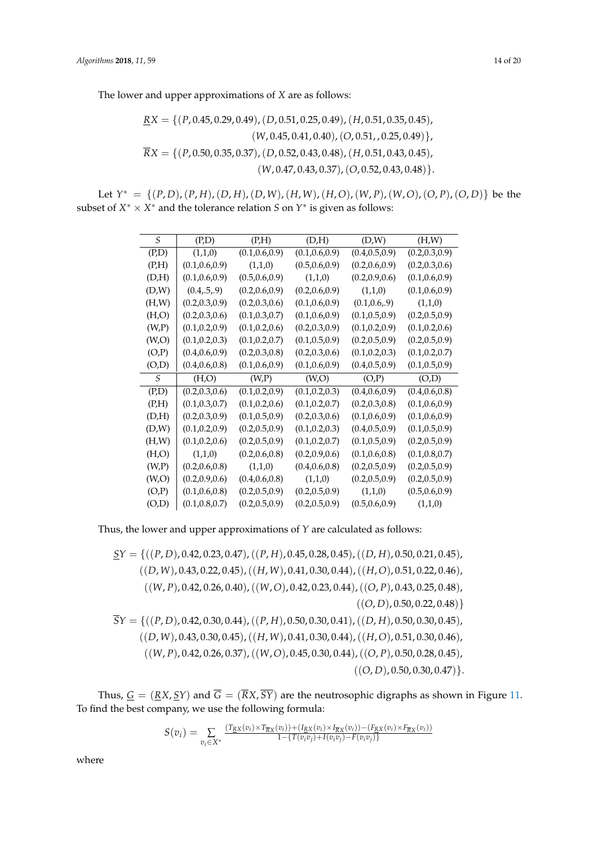The lower and upper approximations of *X* are as follows:

$$
\underline{RX} = \{ (P, 0.45, 0.29, 0.49), (D, 0.51, 0.25, 0.49), (H, 0.51, 0.35, 0.45), (W, 0.45, 0.41, 0.40), (O, 0.51, 0.25, 0.49) \}, \overline{RX} = \{ (P, 0.50, 0.35, 0.37), (D, 0.52, 0.43, 0.48), (H, 0.51, 0.43, 0.45), (W, 0.47, 0.43, 0.37), (O, 0.52, 0.43, 0.48) \}.
$$

Let  $Y^* = \{(P, D), (P, H), (D, H), (D, W), (H, W), (H, O), (W, P), (W, O), (O, P), (O, D)\}\)$  be the subset of  $X^* \times X^*$  and the tolerance relation  $S$  on  $Y^*$  is given as follows:

| S      | (P,D)           | (P,H)           | (D,H)           | (D,W)           | (H,W)           |
|--------|-----------------|-----------------|-----------------|-----------------|-----------------|
| (P,D)  | (1,1,0)         | (0.1, 0.6, 0.9) | (0.1, 0.6, 0.9) | (0.4, 0.5, 0.9) | (0.2, 0.3, 0.9) |
| (P,H)  | (0.1, 0.6, 0.9) | (1,1,0)         | (0.5, 0.6, 0.9) | (0.2, 0.6, 0.9) | (0.2, 0.3, 0.6) |
| (D,H)  | (0.1, 0.6, 0.9) | (0.5, 0.6, 0.9) | (1,1,0)         | (0.2, 0.9, 0.6) | (0.1, 0.6, 0.9) |
| (D,W)  | (0.4, .5, .9)   | (0.2, 0.6, 0.9) | (0.2, 0.6, 0.9) | (1,1,0)         | (0.1, 0.6, 0.9) |
| (H,W)  | (0.2, 0.3, 0.9) | (0.2, 0.3, 0.6) | (0.1, 0.6, 0.9) | (0.1, 0.6, .9)  | (1,1,0)         |
| (H,O)  | (0.2, 0.3, 0.6) | (0.1, 0.3, 0.7) | (0.1, 0.6, 0.9) | (0.1, 0.5, 0.9) | (0.2, 0.5, 0.9) |
| (W,P)  | (0.1, 0.2, 0.9) | (0.1, 0.2, 0.6) | (0.2, 0.3, 0.9) | (0.1, 0.2, 0.9) | (0.1, 0.2, 0.6) |
| (W, O) | (0.1, 0.2, 0.3) | (0.1, 0.2, 0.7) | (0.1, 0.5, 0.9) | (0.2, 0.5, 0.9) | (0.2, 0.5, 0.9) |
| (O,P)  | (0.4, 0.6, 0.9) | (0.2, 0.3, 0.8) | (0.2, 0.3, 0.6) | (0.1, 0.2, 0.3) | (0.1, 0.2, 0.7) |
| (O,D)  | (0.4, 0.6, 0.8) | (0.1, 0.6, 0.9) | (0.1, 0.6, 0.9) | (0.4, 0.5, 0.9) | (0.1, 0.5, 0.9) |
| S      | (H,O)           | (W,P)           | (W, O)          | (O,P)           | (O,D)           |
| (P,D)  | (0.2, 0.3, 0.6) | (0.1, 0.2, 0.9) | (0.1, 0.2, 0.3) | (0.4, 0.6, 0.9) | (0.4, 0.6, 0.8) |
| (P,H)  | (0.1, 0.3, 0.7) | (0.1, 0.2, 0.6) | (0.1, 0.2, 0.7) | (0.2, 0.3, 0.8) | (0.1, 0.6, 0.9) |
| (D,H)  | (0.2, 0.3, 0.9) |                 |                 |                 |                 |
|        |                 | (0.1, 0.5, 0.9) | (0.2, 0.3, 0.6) | (0.1, 0.6, 0.9) | (0.1, 0.6, 0.9) |
| (D,W)  | (0.1, 0.2, 0.9) | (0.2, 0.5, 0.9) | (0.1, 0.2, 0.3) | (0.4, 0.5, 0.9) | (0.1, 0.5, 0.9) |
| (H,W)  | (0.1, 0.2, 0.6) | (0.2, 0.5, 0.9) | (0.1, 0.2, 0.7) | (0.1, 0.5, 0.9) | (0.2, 0.5, 0.9) |
| (H,O)  | (1,1,0)         | (0.2, 0.6, 0.8) | (0.2, 0.9, 0.6) | (0.1, 0.6, 0.8) | (0.1, 0.8, 0.7) |
| (W,P)  | (0.2, 0.6, 0.8) | (1,1,0)         | (0.4, 0.6, 0.8) | (0.2, 0.5, 0.9) | (0.2, 0.5, 0.9) |
| (W, O) | (0.2, 0.9, 0.6) | (0.4, 0.6, 0.8) | (1,1,0)         | (0.2, 0.5, 0.9) | (0.2, 0.5, 0.9) |
| (O,P)  | (0.1, 0.6, 0.8) | (0.2, 0.5, 0.9) | (0.2, 0.5, 0.9) | (1,1,0)         | (0.5, 0.6, 0.9) |

Thus, the lower and upper approximations of *Y* are calculated as follows:

*SY* = {((*P*, *D*), 0.42, 0.23, 0.47),((*P*, *H*), 0.45, 0.28, 0.45),((*D*, *H*), 0.50, 0.21, 0.45), ((*D*, *W*), 0.43, 0.22, 0.45),((*H*, *W*), 0.41, 0.30, 0.44),((*H*,*O*), 0.51, 0.22, 0.46), ((*W*, *P*), 0.42, 0.26, 0.40),((*W*,*O*), 0.42, 0.23, 0.44),((*O*, *P*), 0.43, 0.25, 0.48),  $((O, D), 0.50, 0.22, 0.48)$  $\overline{S}Y = \{((P, D), 0.42, 0.30, 0.44), ((P, H), 0.50, 0.30, 0.41), ((D, H), 0.50, 0.30, 0.45),$ ((*D*, *W*), 0.43, 0.30, 0.45),((*H*, *W*), 0.41, 0.30, 0.44),((*H*,*O*), 0.51, 0.30, 0.46), ((*W*, *P*), 0.42, 0.26, 0.37),((*W*,*O*), 0.45, 0.30, 0.44),((*O*, *P*), 0.50, 0.28, 0.45),  $((O, D), 0.50, 0.30, 0.47)$ .

Thus,  $\underline{G} = (\underline{RX}, \underline{SY})$  and  $\overline{G} = (\overline{RX}, \overline{SY})$  are the neutrosophic digraphs as shown in Figure [11.](#page-14-0) To find the best company, we use the following formula:

$$
S(v_i) = \sum_{v_i \in X^*} \frac{(T_{\text{RX}}(v_i) \times T_{\text{RX}}(v_i)) + (I_{\text{RX}}(v_i) \times I_{\text{RX}}(v_i)) - (F_{\text{RX}}(v_i) \times F_{\text{RX}}(v_i))}{1 - \{T(v_i v_j) + I(v_i v_j) - F(v_i v_j)\}}
$$

where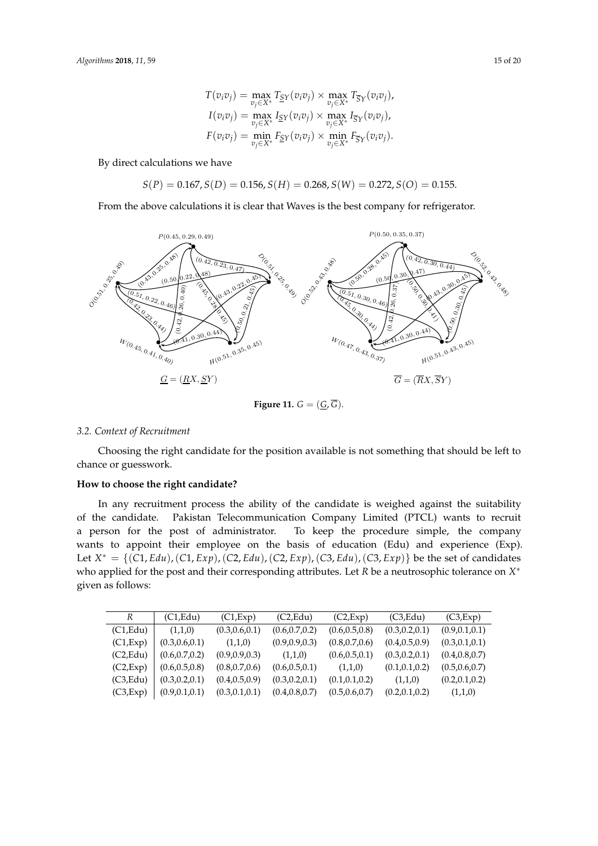$$
T(v_iv_j) = \max_{v_j \in X^*} T_{\underline{S}Y}(v_iv_j) \times \max_{v_j \in X^*} T_{\overline{S}Y}(v_iv_j),
$$
  
\n
$$
I(v_iv_j) = \max_{v_j \in X^*} I_{\underline{S}Y}(v_iv_j) \times \max_{v_j \in X^*} I_{\overline{S}Y}(v_iv_j),
$$
  
\n
$$
F(v_iv_j) = \min_{v_j \in X^*} F_{\underline{S}Y}(v_iv_j) \times \min_{v_j \in X^*} F_{\overline{S}Y}(v_iv_j).
$$

By direct calculations we have

 $S(P) = 0.167, S(D) = 0.156, S(H) = 0.268, S(W) = 0.272, S(O) = 0.155.$ 

From the above calculations it is clear that Waves is the best company for refrigerator.

<span id="page-14-0"></span>

Figure 11.  $G = (\underline{G}, \overline{G})$ .

#### *3.2. Context of Recruitment*

Choosing the right candidate for the position available is not something that should be left to chance or guesswork.

### **How to choose the right candidate?**

In any recruitment process the ability of the candidate is weighed against the suitability of the candidate. Pakistan Telecommunication Company Limited (PTCL) wants to recruit wants to appoint their employee on the basis of education (Edu) and experience (Exp). Let  $X^* = \{(C1, Edu), (C1, Exp), (C2, Edu), (C2, Exp), (C3, Edu), (C3, Exp)\}\$ be the set of candidates who applied for the post and their corresponding attributes. Let  $R$  be a neutrosophic tolerance on  $X^*$ given as follows: a person for the post of administrator. To keep the procedure simple, the company

| R         | (C1, Edu)       | (C1, Exp)       | (C2, Edu)       | (C2,Exp)        | (C3, Edu)       | (C3,Exp)        |
|-----------|-----------------|-----------------|-----------------|-----------------|-----------------|-----------------|
| (C1, Edu) | (1,1,0)         | (0.3, 0.6, 0.1) | (0.6, 0.7, 0.2) | (0.6, 0.5, 0.8) | (0.3, 0.2, 0.1) | (0.9, 0.1, 0.1) |
| (C1, Exp) | (0.3, 0.6, 0.1) | (1,1,0)         | (0.9, 0.9, 0.3) | (0.8, 0.7, 0.6) | (0.4, 0.5, 0.9) | (0.3, 0.1, 0.1) |
| (C2, Edu) | (0.6, 0.7, 0.2) | (0.9, 0.9, 0.3) | (1,1,0)         | (0.6, 0.5, 0.1) | (0.3, 0.2, 0.1) | (0.4, 0.8, 0.7) |
| (C2,Exp)  | (0.6, 0.5, 0.8) | (0.8, 0.7, 0.6) | (0.6, 0.5, 0.1) | (1,1,0)         | (0.1, 0.1, 0.2) | (0.5, 0.6, 0.7) |
| (C3, Edu) | (0.3, 0.2, 0.1) | (0.4, 0.5, 0.9) | (0.3, 0.2, 0.1) | (0.1, 0.1, 0.2) | (1,1,0)         | (0.2, 0.1, 0.2) |
| (C3,Exp)  | (0.9, 0.1, 0.1) | (0.3, 0.1, 0.1) | (0.4, 0.8, 0.7) | (0.5, 0.6, 0.7) | (0.2, 0.1, 0.2) | (1,1,0)         |
|           |                 |                 |                 |                 |                 |                 |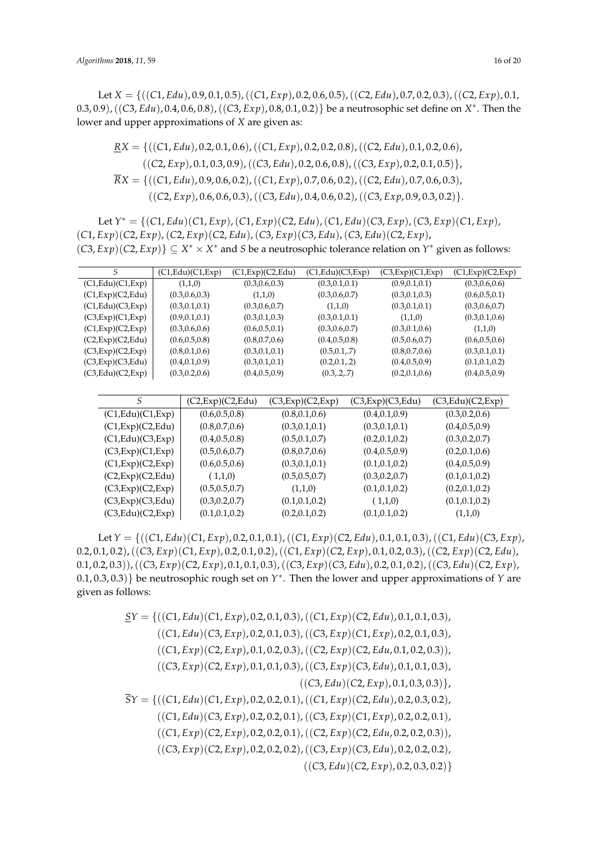Let *X* = {((*C*1, *Edu*), 0.9, 0.1, 0.5),((*C*1, *Exp*), 0.2, 0.6, 0.5),((*C*2, *Edu*), 0.7, 0.2, 0.3),((*C*2, *Exp*), 0.1, 0.3, 0.9),((*C*3, *Edu*), 0.4, 0.6, 0.8),((*C*3, *Exp*), 0.8, 0.1, 0.2)} be a neutrosophic set define on *X* ∗ . Then the lower and upper approximations of *X* are given as:

$$
\underline{RX} = \{((C1, Edu), 0.2, 0.1, 0.6), ((C1, Exp), 0.2, 0.2, 0.8), ((C2, Edu), 0.1, 0.2, 0.6), ((C2, Exp), 0.1, 0.3, 0.9), ((C3, Edu), 0.2, 0.6, 0.8), ((C3, Exp), 0.2, 0.1, 0.5)\},\newline \overline{RX} = \{((C1, Edu), 0.9, 0.6, 0.2), ((C1, Exp), 0.7, 0.6, 0.2), ((C2, Edu), 0.7, 0.6, 0.3), ((C2, Exp), 0.6, 0.6, 0.3), ((C3, Edu), 0.4, 0.6, 0.2), ((C3, Exp, 0.9, 0.3, 0.2)\}.
$$

Let *Y* <sup>∗</sup> = {(*C*1, *Edu*)(*C*1, *Exp*),(*C*1, *Exp*)(*C*2, *Edu*),(*C*1, *Edu*)(*C*3, *Exp*),(*C*3, *Exp*)(*C*1, *Exp*), (*C*1, *Exp*)(*C*2, *Exp*),(*C*2, *Exp*)(*C*2, *Edu*),(*C*3, *Exp*)(*C*3, *Edu*),(*C*3, *Edu*)(*C*2, *Exp*),  $(C3, Exp)(C2, Exp)$   $\subseteq X^* \times X^*$  and *S* be a neutrosophic tolerance relation on  $Y^*$  given as follows:

| S                  |                    | (C1,Edu)(C1,Exp)   | (C1,Exp)(C2,Edu) | (C1, Edu)(C3,Exp) | (C3,Exp)(C1,Exp)   | (C1, Exp)(C2, Exp) |
|--------------------|--------------------|--------------------|------------------|-------------------|--------------------|--------------------|
| (C1, Edu)(C1, Exp) |                    | (1,1,0)            | (0.3, 0.6, 0.3)  | (0.3, 0.1, 0.1)   | (0.9, 0.1, 0.1)    | (0.3, 0.6, 0.6)    |
| (C1, Exp)(C2, Edu) |                    | (0.3, 0.6, 0.3)    | (1,1,0)          | (0.3, 0.6, 0.7)   | (0.3, 0.1, 0.3)    | (0.6, 0.5, 0.1)    |
| (C1, Edu)(C3, Exp) |                    | (0.3, 0.1, 0.1)    | (0.3, 0.6, 0.7)  | (1,1,0)           | (0.3, 0.1, 0.1)    | (0.3, 0.6, 0.7)    |
| (C3,Exp)(C1,Exp)   |                    | (0.9, 0.1, 0.1)    | (0.3, 0.1, 0.3)  | (0.3, 0.1, 0.1)   | (1,1,0)            | (0.3, 0.1, 0.6)    |
| (C1, Exp)(C2, Exp) |                    | (0.3, 0.6, 0.6)    | (0.6, 0.5, 0.1)  | (0.3, 0.6, 0.7)   | (0.3, 0.1, 0.6)    | (1,1,0)            |
| (C2,Exp)(C2,Edu)   |                    | (0.6, 0.5, 0.8)    | (0.8, 0.7, 0.6)  | (0.4, 0.5, 0.8)   | (0.5, 0.6, 0.7)    | (0.6, 0.5, 0.6)    |
| (C3,Exp)(C2,Exp)   |                    | (0.8, 0.1, 0.6)    | (0.3, 0.1, 0.1)  | (0.5, 0.1, .7)    | (0.8, 0.7, 0.6)    | (0.3, 0.1, 0.1)    |
| (C3,Exp)(C3,Edu)   |                    | (0.4, 0.1, 0.9)    | (0.3, 0.1, 0.1)  | (0.2, 0.1, 2)     | (0.4, 0.5, 0.9)    | (0.1, 0.1, 0.2)    |
| (C3,Edu)(C2,Exp)   |                    | (0.3, 0.2, 0.6)    | (0.4, 0.5, 0.9)  | (0.3, 2, 7)       | (0.2, 0.1, 0.6)    | (0.4, 0.5, 0.9)    |
|                    |                    |                    |                  |                   |                    |                    |
|                    | S                  | (C2, Exp)(C2, Edu) |                  | (C3,Exp)(C2,Exp)  | (C3, Exp)(C3, Edu) | (C3, Edu)(C2,Exp)  |
|                    | (C1, Edu)(C1, Exp) | (0.6, 0.5, 0.8)    |                  | (0.8, 0.1, 0.6)   | (0.4, 0.1, 0.9)    | (0.3, 0.2, 0.6)    |
|                    | (C1, Exp)(C2, Edu) | (0.8, 0.7, 0.6)    |                  | (0.3, 0.1, 0.1)   | (0.3, 0.1, 0.1)    | (0.4, 0.5, 0.9)    |
|                    | (C1, Edu)(C3, Exp) | (0.4, 0.5, 0.8)    |                  | (0.5, 0.1, 0.7)   | (0.2, 0.1, 0.2)    | (0.3, 0.2, 0.7)    |
|                    | (C3,Exp)(C1,Exp)   | (0.5, 0.6, 0.7)    |                  | (0.8, 0.7, 0.6)   | (0.4, 0.5, 0.9)    | (0.2, 0.1, 0.6)    |
|                    | (C1, Exp)(C2, Exp) | (0.6, 0.5, 0.6)    |                  | (0.3, 0.1, 0.1)   | (0.1, 0.1, 0.2)    | (0.4, 0.5, 0.9)    |
|                    | (C2, Exp)(C2, Edu) | (1,1,0)            |                  | (0.5, 0.5, 0.7)   | (0.3, 0.2, 0.7)    | (0.1, 0.1, 0.2)    |
|                    | (C3,Exp)(C2,Exp)   | (0.5, 0.5, 0.7)    |                  | (1,1,0)           | (0.1, 0.1, 0.2)    | (0.2, 0.1, 0.2)    |
|                    | (C3, Exp)(C3, Edu) | (0.3, 0.2, 0.7)    |                  | (0.1, 0.1, 0.2)   | (1,1,0)            | (0.1, 0.1, 0.2)    |
|                    | (C3, Edu)(C2,Exp)  | (0.1, 0.1, 0.2)    |                  | (0.2, 0.1, 0.2)   | (0.1, 0.1, 0.2)    | (1,1,0)            |

Let *Y* = {((*C*1, *Edu*)(*C*1, *Exp*), 0.2, 0.1, 0.1),((*C*1, *Exp*)(*C*2, *Edu*), 0.1, 0.1, 0.3),((*C*1, *Edu*)(*C*3, *Exp*), 0.2, 0.1, 0.2),((*C*3, *Exp*)(*C*1, *Exp*), 0.2, 0.1, 0.2),((*C*1, *Exp*)(*C*2, *Exp*), 0.1, 0.2, 0.3),((*C*2, *Exp*)(*C*2, *Edu*), 0.1, 0.2, 0.3)),((*C*3, *Exp*)(*C*2, *Exp*), 0.1, 0.1, 0.3),((*C*3, *Exp*)(*C*3, *Edu*), 0.2, 0.1, 0.2),((*C*3, *Edu*)(*C*2, *Exp*), 0.1, 0.3, 0.3)} be neutrosophic rough set on *Y* ∗ . Then the lower and upper approximations of *Y* are given as follows:

$$
\underline{S}Y = \{((C1, Edu)(C1, Exp), 0.2, 0.1, 0.3), ((C1, Exp)(C2, Edu), 0.1, 0.1, 0.3), ((C1, Edu)(C3, Exp), 0.2, 0.1, 0.3), ((C3, Exp)(C1, Exp), 0.2, 0.1, 0.3), ((C1, Exp)(C2, Exp), 0.1, 0.2, 0.3), ((C2, Exp)(C2, Edu, 0.1, 0.2, 0.3)), ((C3, Exp)(C2, Exp), 0.1, 0.1, 0.3), ((C3, Edu)(C2, Exp), 0.1, 0.3, 0.3)\},\
$$

$$
\overline{S}Y = \{((C1, Edu)(C1, Exp), 0.2, 0.2, 0.1), ((C1, Exp)(C2, Edu), 0.2, 0.3, 0.2), ((C1, Edu)(C3, Exp), 0.2, 0.2, 0.1), ((C3, Exp)(C1, Exp), 0.2, 0.2, 0.1), ((C2, Exp)(C2, Edu, 0.2, 0.2, 0.3)), ((C3, Exp)(C2, Exp), 0.2, 0.2, 0.2), ((C3, Exp)(C2, Exp), 0.2, 0.2, 0.2), ((C3, Edu)(C2, Exp), 0.2, 0.3, 0.2)\}
$$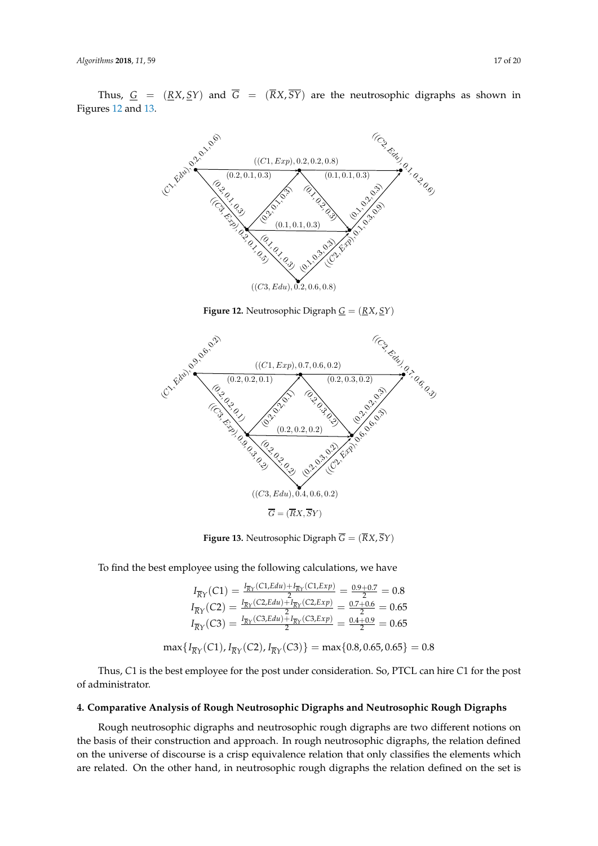<span id="page-16-0"></span>Thus,  $G = (RX, SY)$  and  $\overline{G} = (\overline{R}X, \overline{SY})$  are the neutrosophic digraphs as shown in Figures [12](#page-16-0) and [13.](#page-16-1)



**Figure 12.** Neutrosophic Digraph *G* = (*RX*, *SY*) Figure 12: Neutrosophic Digraph G = (RX, SY )

<span id="page-16-1"></span>

Figure 13: Neutrosophic Digraph G = (RX, SY ) Figure 13: Neutrosophic Digraph G = (RX, SY ) **Figure 13.** Neutrosophic Digraph *G* = (*RX*, *SY*)

To find the best employee using the following calculations, we have

$$
I_{\overline{R}Y}(C1) = \frac{I_{\overline{R}Y}(C1, Edu) + I_{\overline{R}Y}(C1, Exp)}{2} = \frac{0.9 + 0.7}{2} = 0.8
$$
  
\n
$$
I_{\overline{R}Y}(C2) = \frac{I_{\overline{R}Y}(C2, Edu) + I_{\overline{R}Y}(C2, Exp)}{2} = \frac{0.7 + 0.6}{2} = 0.65
$$
  
\n
$$
I_{\overline{R}Y}(C3) = \frac{I_{\overline{R}Y}(C3, Edu) + I_{\overline{R}Y}(C3, Exp)}{2} = \frac{0.4 + 0.9}{2} = 0.65
$$
  
\n
$$
\max\{I_{\overline{R}Y}(C1), I_{\overline{R}Y}(C2), I_{\overline{R}Y}(C3)\} = \max\{0.8, 0.65, 0.65\} = 0.8
$$

Thus, *C*1 is the best employee for the post under consideration. So, PTCL can hire *C*1 for the post of administrator.

## **4. Comparative Analysis of Rough Neutrosophic Digraphs and Neutrosophic Rough Digraphs**

Rough neutrosophic digraphs and neutrosophic rough digraphs are two different notions on the basis of their construction and approach. In rough neutrosophic digraphs, the relation defined on the universe of discourse is a crisp equivalence relation that only classifies the elements which are related. On the other hand, in neutrosophic rough digraphs the relation defined on the set is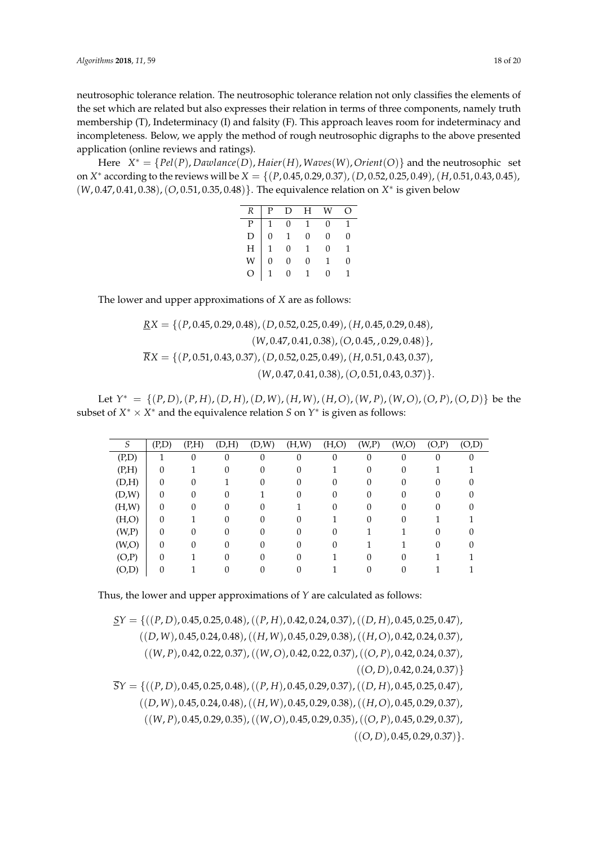neutrosophic tolerance relation. The neutrosophic tolerance relation not only classifies the elements of the set which are related but also expresses their relation in terms of three components, namely truth membership (T), Indeterminacy (I) and falsity (F). This approach leaves room for indeterminacy and incompleteness. Below, we apply the method of rough neutrosophic digraphs to the above presented application (online reviews and ratings).

Here *X* <sup>∗</sup> = {*Pel*(*P*), *Dawlance*(*D*), *Haier*(*H*), *Waves*(*W*),*Orient*(*O*)} and the neutrosophic set on *X* <sup>∗</sup> according to the reviews will be *X* = {(*P*, 0.45, 0.29, 0.37),(*D*, 0.52, 0.25, 0.49),(*H*, 0.51, 0.43, 0.45), (*W*, 0.47, 0.41, 0.38),(*O*, 0.51, 0.35, 0.48)}. The equivalence relation on *X* ∗ is given below

| $R_{-}$                                                                                           |                | $ P\quad D\quad H\quad W$                                                                                                                                |                | ∩ |
|---------------------------------------------------------------------------------------------------|----------------|----------------------------------------------------------------------------------------------------------------------------------------------------------|----------------|---|
|                                                                                                   |                |                                                                                                                                                          | $\overline{0}$ | 1 |
| $\begin{array}{c} \mathbf{P} \\ \mathbf{D} \\ \mathbf{H} \\ \mathbf{W} \\ \mathbf{O} \end{array}$ |                |                                                                                                                                                          | $\overline{0}$ | 0 |
|                                                                                                   |                |                                                                                                                                                          | $\overline{0}$ | 1 |
|                                                                                                   |                |                                                                                                                                                          | 1              | U |
|                                                                                                   | $\overline{0}$ | $\begin{tabular}{ c c c c } \hline & & & & & & & \\ \hline 1 & 0 & 1 & 0 & & \\ 1 & 0 & 1 & & \\ 0 & 0 & 0 & & \\ 1 & 0 & 1 & & \\ \hline \end{tabular}$ | $\Omega$       |   |

The lower and upper approximations of *X* are as follows:

$$
\underline{RX} = \{ (P, 0.45, 0.29, 0.48), (D, 0.52, 0.25, 0.49), (H, 0.45, 0.29, 0.48), (W, 0.47, 0.41, 0.38), (O, 0.45, 0.29, 0.48) \},\
$$

$$
\overline{RX} = \{ (P, 0.51, 0.43, 0.37), (D, 0.52, 0.25, 0.49), (H, 0.51, 0.43, 0.37), (W, 0.47, 0.41, 0.38), (O, 0.51, 0.43, 0.37) \}.
$$

Let  $Y^* = \{(P, D), (P, H), (D, H), (D, W), (H, W), (H, O), (W, P), (W, O), (O, P), (O, D)\}\)$  be the subset of  $X^* \times X^*$  and the equivalence relation  $S$  on  $Y^*$  is given as follows:

| S     | (P,D)    | (P,H) | (D,H) | (D,W) | (H,W) | (H,O) | (W,P)            | (W, O) | (O,P) | (O,D) |
|-------|----------|-------|-------|-------|-------|-------|------------------|--------|-------|-------|
| (P,D) |          | 0     | 0     | 0     | 0     | 0     | 0                | 0      | 0     | 0     |
| (P,H) | 0        |       |       |       |       |       | 0                |        |       |       |
| (D,H) | 0        | 0     |       |       |       |       |                  |        |       |       |
| (D,W) | $\Omega$ | 0     |       |       |       |       |                  |        |       |       |
| (H,W) | $\Omega$ | 0     | U     |       |       | 0     | $\left( \right)$ |        |       |       |
| (H,O) | $\Omega$ |       |       |       |       |       |                  |        |       |       |
| (W,P) | 0        | 0     |       |       |       |       |                  |        |       |       |
| (W,O) | $\Omega$ | 0     | ſ     |       |       |       |                  |        |       |       |
| (O,P) | 0        |       |       |       |       |       |                  |        |       |       |
| (O,D) |          |       |       |       |       |       |                  |        |       |       |

Thus, the lower and upper approximations of *Y* are calculated as follows:

$$
\underline{S}Y = \{((P, D), 0.45, 0.25, 0.48), ((P, H), 0.42, 0.24, 0.37), ((D, H), 0.45, 0.25, 0.47), ((D, W), 0.45, 0.24, 0.48), ((H, W), 0.45, 0.29, 0.38), ((H, O), 0.42, 0.24, 0.37), ((W, P), 0.42, 0.22, 0.37), ((W, O), 0.42, 0.22, 0.37), ((O, P), 0.42, 0.24, 0.37), ((O, D), 0.42, 0.24, 0.37)\}
$$
  

$$
\overline{S}Y = \{((P, D), 0.45, 0.25, 0.48), ((P, H), 0.45, 0.29, 0.37), ((D, H), 0.45, 0.25, 0.47), ((D, W), 0.45, 0.24, 0.48), ((H, W), 0.45, 0.29, 0.38), ((H, O), 0.45, 0.29, 0.37),
$$

((*W*, *P*), 0.45, 0.29, 0.35),((*W*,*O*), 0.45, 0.29, 0.35),((*O*, *P*), 0.45, 0.29, 0.37),  $((O, D), 0.45, 0.29, 0.37)\}.$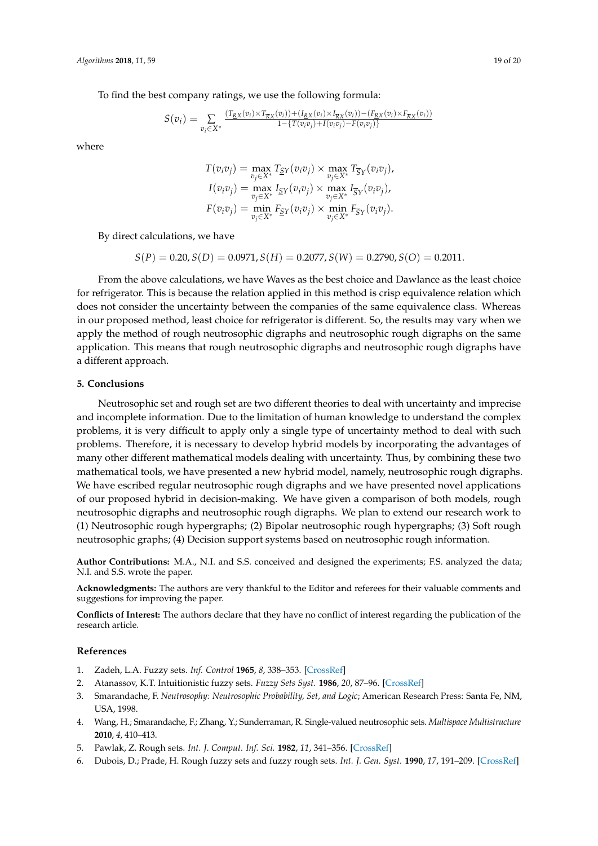To find the best company ratings, we use the following formula:

$$
S(v_i) = \sum_{v_i \in X^*} \frac{(T_{RX}(v_i) \times T_{\overline{R}X}(v_i)) + (I_{RX}(v_i) \times I_{\overline{R}X}(v_i)) - (F_{RX}(v_i) \times F_{\overline{R}X}(v_i))}{1 - \{T(v_i v_j) + I(v_i v_j) - F(v_i v_j)\}}
$$

where

$$
T(v_iv_j) = \max_{v_j \in X^*} T_{\underline{S}Y}(v_iv_j) \times \max_{v_j \in X^*} T_{\overline{S}Y}(v_iv_j),
$$
  
\n
$$
I(v_iv_j) = \max_{v_j \in X^*} I_{\underline{S}Y}(v_iv_j) \times \max_{v_j \in X^*} I_{\overline{S}Y}(v_iv_j),
$$
  
\n
$$
F(v_iv_j) = \min_{v_j \in X^*} F_{\underline{S}Y}(v_iv_j) \times \min_{v_j \in X^*} F_{\overline{S}Y}(v_iv_j).
$$

By direct calculations, we have

 $S(P) = 0.20, S(D) = 0.0971, S(H) = 0.2077, S(W) = 0.2790, S(O) = 0.2011.$ 

From the above calculations, we have Waves as the best choice and Dawlance as the least choice for refrigerator. This is because the relation applied in this method is crisp equivalence relation which does not consider the uncertainty between the companies of the same equivalence class. Whereas in our proposed method, least choice for refrigerator is different. So, the results may vary when we apply the method of rough neutrosophic digraphs and neutrosophic rough digraphs on the same application. This means that rough neutrosophic digraphs and neutrosophic rough digraphs have a different approach.

#### **5. Conclusions**

Neutrosophic set and rough set are two different theories to deal with uncertainty and imprecise and incomplete information. Due to the limitation of human knowledge to understand the complex problems, it is very difficult to apply only a single type of uncertainty method to deal with such problems. Therefore, it is necessary to develop hybrid models by incorporating the advantages of many other different mathematical models dealing with uncertainty. Thus, by combining these two mathematical tools, we have presented a new hybrid model, namely, neutrosophic rough digraphs. We have escribed regular neutrosophic rough digraphs and we have presented novel applications of our proposed hybrid in decision-making. We have given a comparison of both models, rough neutrosophic digraphs and neutrosophic rough digraphs. We plan to extend our research work to (1) Neutrosophic rough hypergraphs; (2) Bipolar neutrosophic rough hypergraphs; (3) Soft rough neutrosophic graphs; (4) Decision support systems based on neutrosophic rough information.

**Author Contributions:** M.A., N.I. and S.S. conceived and designed the experiments; F.S. analyzed the data; N.I. and S.S. wrote the paper.

**Acknowledgments:** The authors are very thankful to the Editor and referees for their valuable comments and suggestions for improving the paper.

**Conflicts of Interest:** The authors declare that they have no conflict of interest regarding the publication of the research article.

#### **References**

- <span id="page-18-1"></span><span id="page-18-0"></span>1. Zadeh, L.A. Fuzzy sets. *Inf. Control* **1965**, *8*, 338–353. [\[CrossRef\]](http://dx.doi.org/10.1016/S0019-9958(65)90241-X)
- 2. Atanassov, K.T. Intuitionistic fuzzy sets. *Fuzzy Sets Syst.* **1986**, *20*, 87–96. [\[CrossRef\]](http://dx.doi.org/10.1016/S0165-0114(86)80034-3)
- <span id="page-18-2"></span>3. Smarandache, F. *Neutrosophy: Neutrosophic Probability, Set, and Logic*; American Research Press: Santa Fe, NM, USA, 1998.
- <span id="page-18-3"></span>4. Wang, H.; Smarandache, F.; Zhang, Y.; Sunderraman, R. Single-valued neutrosophic sets. *Multispace Multistructure* **2010**, *4*, 410–413.
- <span id="page-18-4"></span>5. Pawlak, Z. Rough sets. *Int. J. Comput. Inf. Sci.* **1982**, *11*, 341–356. [\[CrossRef\]](http://dx.doi.org/10.1007/BF01001956)
- <span id="page-18-5"></span>6. Dubois, D.; Prade, H. Rough fuzzy sets and fuzzy rough sets. *Int. J. Gen. Syst.* **1990**, *17*, 191–209. [\[CrossRef\]](http://dx.doi.org/10.1080/03081079008935107)